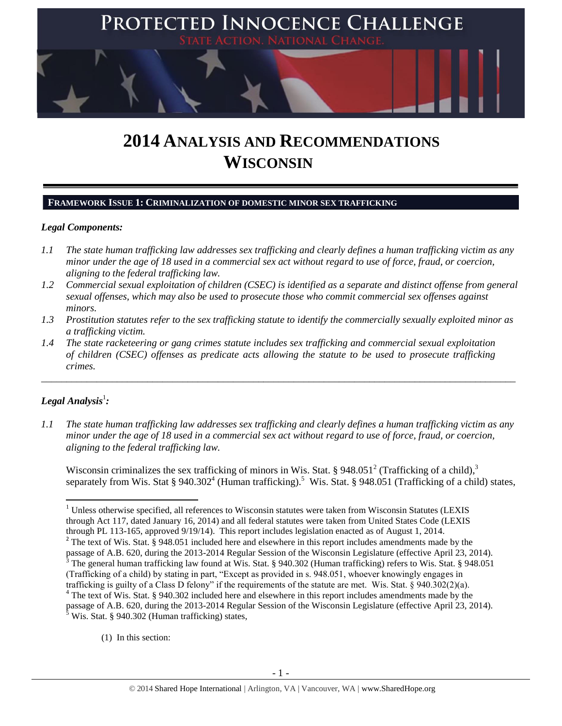

# **2014 ANALYSIS AND RECOMMENDATIONS WISCONSIN**

## **FRAMEWORK ISSUE 1: CRIMINALIZATION OF DOMESTIC MINOR SEX TRAFFICKING**

## *Legal Components:*

- *1.1 The state human trafficking law addresses sex trafficking and clearly defines a human trafficking victim as any minor under the age of 18 used in a commercial sex act without regard to use of force, fraud, or coercion, aligning to the federal trafficking law.*
- *1.2 Commercial sexual exploitation of children (CSEC) is identified as a separate and distinct offense from general sexual offenses, which may also be used to prosecute those who commit commercial sex offenses against minors.*
- *1.3 Prostitution statutes refer to the sex trafficking statute to identify the commercially sexually exploited minor as a trafficking victim.*

\_\_\_\_\_\_\_\_\_\_\_\_\_\_\_\_\_\_\_\_\_\_\_\_\_\_\_\_\_\_\_\_\_\_\_\_\_\_\_\_\_\_\_\_\_\_\_\_\_\_\_\_\_\_\_\_\_\_\_\_\_\_\_\_\_\_\_\_\_\_\_\_\_\_\_\_\_\_\_\_\_\_\_\_\_\_\_\_\_\_\_\_\_\_

*1.4 The state racketeering or gang crimes statute includes sex trafficking and commercial sexual exploitation of children (CSEC) offenses as predicate acts allowing the statute to be used to prosecute trafficking crimes.* 

# $\bm{L}$ egal Analysis $^1$ :

 $\overline{a}$ 

*1.1 The state human trafficking law addresses sex trafficking and clearly defines a human trafficking victim as any minor under the age of 18 used in a commercial sex act without regard to use of force, fraud, or coercion, aligning to the federal trafficking law.*

<span id="page-0-1"></span><span id="page-0-0"></span>Wisconsin criminalizes the sex trafficking of minors in Wis. Stat. § 948.051<sup>2</sup> (Trafficking of a child),<sup>3</sup> separately from Wis. Stat § 940.302<sup>4</sup> (Human trafficking).<sup>5</sup> Wis. Stat. § 948.051 (Trafficking of a child) states,

(1) In this section:

 $1$  Unless otherwise specified, all references to Wisconsin statutes were taken from Wisconsin Statutes (LEXIS through Act 117, dated January 16, 2014) and all federal statutes were taken from United States Code (LEXIS through PL 113-165, approved 9/19/14). This report includes legislation enacted as of August 1, 2014.

<sup>&</sup>lt;sup>2</sup> The text of Wis. Stat. § 948.051 included here and elsewhere in this report includes amendments made by the passage of A.B. 620, during the 2013-2014 Regular Session of the Wisconsin Legislature (effective April 23, 2014).  $3$  The general human trafficking law found at Wis. Stat. § 940.302 (Human trafficking) refers to Wis. Stat. § 948.051 (Trafficking of a child) by stating in part, "Except as provided in s. 948.051, whoever knowingly engages in trafficking is guilty of a Class D felony" if the requirements of the statute are met. Wis. Stat. § 940.302(2)(a). <sup>4</sup> The text of Wis. Stat. § 940.302 included here and elsewhere in this report includes amendments made by the

passage of A.B. 620, during the 2013-2014 Regular Session of the Wisconsin Legislature (effective April 23, 2014).  $3$  Wis. Stat. § 940.302 (Human trafficking) states,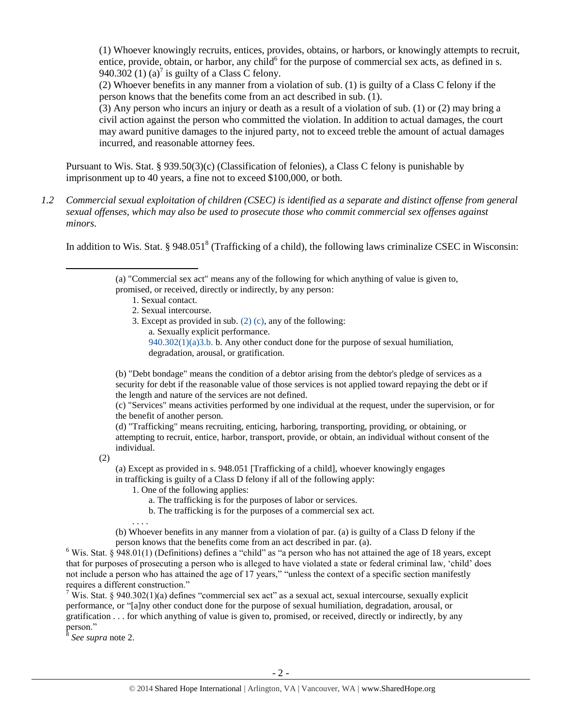<span id="page-1-0"></span>(1) Whoever knowingly recruits, entices, provides, obtains, or harbors, or knowingly attempts to recruit, entice, provide, obtain, or harbor, any child $^6$  for the purpose of commercial sex acts, as defined in s. 940.302 (1) (a)<sup>7</sup> is guilty of a Class C felony.

<span id="page-1-1"></span>(2) Whoever benefits in any manner from a violation of sub. (1) is guilty of a Class C felony if the person knows that the benefits come from an act described in sub. (1).

(3) Any person who incurs an injury or death as a result of a violation of sub. (1) or (2) may bring a civil action against the person who committed the violation. In addition to actual damages, the court may award punitive damages to the injured party, not to exceed treble the amount of actual damages incurred, and reasonable attorney fees.

Pursuant to Wis. Stat. § 939.50(3)(c) (Classification of felonies), a Class C felony is punishable by imprisonment up to 40 years, a fine not to exceed \$100,000, or both.

*1.2 Commercial sexual exploitation of children (CSEC) is identified as a separate and distinct offense from general sexual offenses, which may also be used to prosecute those who commit commercial sex offenses against minors.*

In addition to Wis. Stat. § 948.051<sup>8</sup> (Trafficking of a child), the following laws criminalize CSEC in Wisconsin:

- 1. Sexual contact.
- 2. Sexual intercourse.
- 3. Except as provided in sub. [\(2\) \(c\),](http://docs.legis.wisconsin.gov/document/statutes/940.302%282%29%28c%29) any of the following: a. Sexually explicit performance.
	- [940.302\(1\)\(a\)3.b.](http://docs.legis.wisconsin.gov/document/statutes/940.302%281%29%28a%293.b.) b. Any other conduct done for the purpose of sexual humiliation, degradation, arousal, or gratification.

(b) "Debt bondage" means the condition of a debtor arising from the debtor's pledge of services as a security for debt if the reasonable value of those services is not applied toward repaying the debt or if the length and nature of the services are not defined.

(c) "Services" means activities performed by one individual at the request, under the supervision, or for the benefit of another person.

(d) "Trafficking" means recruiting, enticing, harboring, transporting, providing, or obtaining, or attempting to recruit, entice, harbor, transport, provide, or obtain, an individual without consent of the individual.

(2)

l

(a) Except as provided in s. 948.051 [Trafficking of a child], whoever knowingly engages in trafficking is guilty of a Class D felony if all of the following apply:

- 1. One of the following applies:
	- a. The trafficking is for the purposes of labor or services.
	- b. The trafficking is for the purposes of a commercial sex act.

. . . .

(b) Whoever benefits in any manner from a violation of par. (a) is guilty of a Class D felony if the person knows that the benefits come from an act described in par. (a).

 $6$  Wis. Stat. § 948.01(1) (Definitions) defines a "child" as "a person who has not attained the age of 18 years, except that for purposes of prosecuting a person who is alleged to have violated a state or federal criminal law, 'child' does not include a person who has attained the age of 17 years," "unless the context of a specific section manifestly requires a different construction."

<sup>7</sup> Wis. Stat. § 940.302(1)(a) defines "commercial sex act" as a sexual act, sexual intercourse, sexually explicit performance, or "[a]ny other conduct done for the purpose of sexual humiliation, degradation, arousal, or gratification . . . for which anything of value is given to, promised, or received, directly or indirectly, by any person."

8 *See supra* note [2.](#page-0-0)

<sup>(</sup>a) "Commercial sex act" means any of the following for which anything of value is given to,

promised, or received, directly or indirectly, by any person: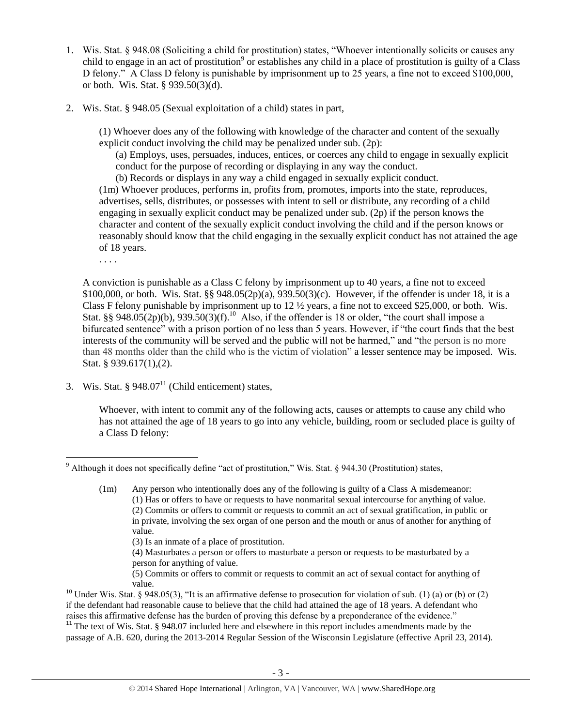- 1. Wis. Stat. § 948.08 (Soliciting a child for prostitution) states, "Whoever intentionally solicits or causes any child to engage in an act of prostitution<sup>9</sup> or establishes any child in a place of prostitution is guilty of a Class D felony." A Class D felony is punishable by imprisonment up to 25 years, a fine not to exceed \$100,000, or both. Wis. Stat. § 939.50(3)(d).
- 2. Wis. Stat. § 948.05 (Sexual exploitation of a child) states in part,

(1) Whoever does any of the following with knowledge of the character and content of the sexually explicit conduct involving the child may be penalized under sub. (2p):

(a) Employs, uses, persuades, induces, entices, or coerces any child to engage in sexually explicit conduct for the purpose of recording or displaying in any way the conduct.

(b) Records or displays in any way a child engaged in sexually explicit conduct.

(1m) Whoever produces, performs in, profits from, promotes, imports into the state, reproduces, advertises, sells, distributes, or possesses with intent to sell or distribute, any recording of a child engaging in sexually explicit conduct may be penalized under sub. (2p) if the person knows the character and content of the sexually explicit conduct involving the child and if the person knows or reasonably should know that the child engaging in the sexually explicit conduct has not attained the age of 18 years.

. . . .

A conviction is punishable as a Class C felony by imprisonment up to 40 years, a fine not to exceed \$100,000, or both. Wis. Stat. §§ 948.05(2p)(a), 939.50(3)(c). However, if the offender is under 18, it is a Class F felony punishable by imprisonment up to  $12 \frac{1}{2}$  years, a fine not to exceed \$25,000, or both. Wis. Stat. §§ 948.05(2p)(b), 939.50(3)(f).<sup>10</sup> Also, if the offender is 18 or older, "the court shall impose a bifurcated sentence" with a prison portion of no less than 5 years. However, if "the court finds that the best interests of the community will be served and the public will not be harmed," and "the person is no more than 48 months older than the child who is the victim of violation" a lesser sentence may be imposed. Wis. Stat. § 939.617(1),(2).

3. Wis. Stat. §  $948.07<sup>11</sup>$  (Child enticement) states,

<span id="page-2-0"></span>Whoever, with intent to commit any of the following acts, causes or attempts to cause any child who has not attained the age of 18 years to go into any vehicle, building, room or secluded place is guilty of a Class D felony:

(3) Is an inmate of a place of prostitution.

(4) Masturbates a person or offers to masturbate a person or requests to be masturbated by a person for anything of value.

(5) Commits or offers to commit or requests to commit an act of sexual contact for anything of value.

<sup>11</sup> The text of Wis. Stat. § 948.07 included here and elsewhere in this report includes amendments made by the passage of A.B. 620, during the 2013-2014 Regular Session of the Wisconsin Legislature (effective April 23, 2014).

 $\overline{\phantom{a}}$ <sup>9</sup> Although it does not specifically define "act of prostitution," Wis. Stat. § 944.30 (Prostitution) states,

<sup>(1</sup>m) Any person who intentionally does any of the following is guilty of a Class A misdemeanor: (1) Has or offers to have or requests to have nonmarital sexual intercourse for anything of value. (2) Commits or offers to commit or requests to commit an act of sexual gratification, in public or in private, involving the sex organ of one person and the mouth or anus of another for anything of value.

<sup>&</sup>lt;sup>10</sup> Under Wis. Stat. § 948.05(3), "It is an affirmative defense to prosecution for violation of sub. (1) (a) or (b) or (2) if the defendant had reasonable cause to believe that the child had attained the age of 18 years. A defendant who raises this affirmative defense has the burden of proving this defense by a preponderance of the evidence."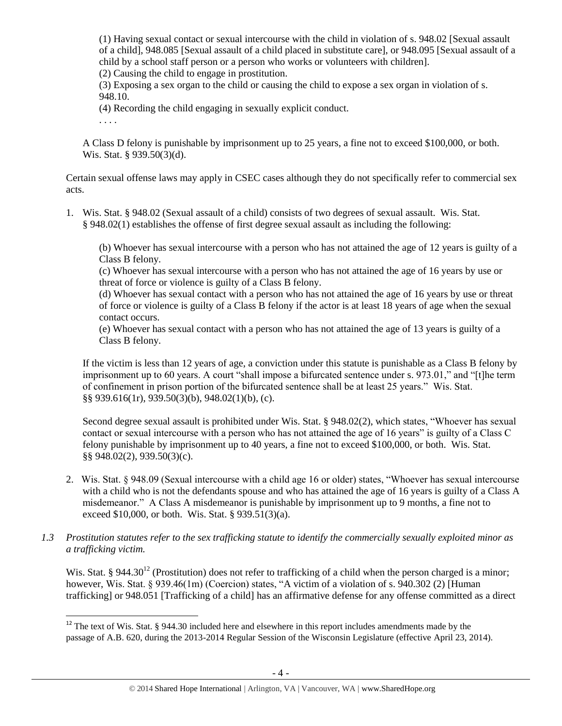(1) Having sexual contact or sexual intercourse with the child in violation of s. 948.02 [Sexual assault of a child], 948.085 [Sexual assault of a child placed in substitute care], or 948.095 [Sexual assault of a child by a school staff person or a person who works or volunteers with children].

(2) Causing the child to engage in prostitution.

(3) Exposing a sex organ to the child or causing the child to expose a sex organ in violation of s. 948.10.

(4) Recording the child engaging in sexually explicit conduct.

. . . .

l

A Class D felony is punishable by imprisonment up to 25 years, a fine not to exceed \$100,000, or both. Wis. Stat. § 939.50(3)(d).

Certain sexual offense laws may apply in CSEC cases although they do not specifically refer to commercial sex acts.

1. Wis. Stat. § 948.02 (Sexual assault of a child) consists of two degrees of sexual assault. Wis. Stat. § 948.02(1) establishes the offense of first degree sexual assault as including the following:

(b) Whoever has sexual intercourse with a person who has not attained the age of 12 years is guilty of a Class B felony.

(c) Whoever has sexual intercourse with a person who has not attained the age of 16 years by use or threat of force or violence is guilty of a Class B felony.

(d) Whoever has sexual contact with a person who has not attained the age of 16 years by use or threat of force or violence is guilty of a Class B felony if the actor is at least 18 years of age when the sexual contact occurs.

(e) Whoever has sexual contact with a person who has not attained the age of 13 years is guilty of a Class B felony.

If the victim is less than 12 years of age, a conviction under this statute is punishable as a Class B felony by imprisonment up to 60 years. A court "shall impose a bifurcated sentence under s. 973.01," and "[t]he term of confinement in prison portion of the bifurcated sentence shall be at least 25 years." Wis. Stat. §§ 939.616(1r), 939.50(3)(b), 948.02(1)(b), (c).

Second degree sexual assault is prohibited under Wis. Stat. § 948.02(2), which states, "Whoever has sexual contact or sexual intercourse with a person who has not attained the age of 16 years" is guilty of a Class C felony punishable by imprisonment up to 40 years, a fine not to exceed \$100,000, or both. Wis. Stat. §§ 948.02(2), 939.50(3)(c).

2. Wis. Stat. § 948.09 (Sexual intercourse with a child age 16 or older) states, "Whoever has sexual intercourse with a child who is not the defendants spouse and who has attained the age of 16 years is guilty of a Class A misdemeanor." A Class A misdemeanor is punishable by imprisonment up to 9 months, a fine not to exceed \$10,000, or both. Wis. Stat. § 939.51(3)(a).

## *1.3 Prostitution statutes refer to the sex trafficking statute to identify the commercially sexually exploited minor as a trafficking victim.*

<span id="page-3-0"></span>Wis. Stat. § 944.30<sup>12</sup> (Prostitution) does not refer to trafficking of a child when the person charged is a minor; however, Wis. Stat. § 939.46(1m) (Coercion) states, "A victim of a violation of s. 940.302 (2) [Human] trafficking] or 948.051 [Trafficking of a child] has an affirmative defense for any offense committed as a direct

 $12$  The text of Wis. Stat. § 944.30 included here and elsewhere in this report includes amendments made by the passage of A.B. 620, during the 2013-2014 Regular Session of the Wisconsin Legislature (effective April 23, 2014).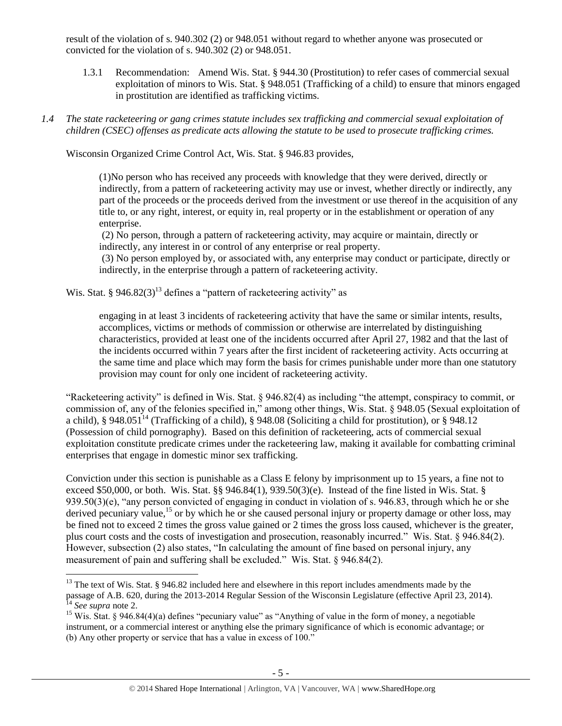result of the violation of s. 940.302 (2) or 948.051 without regard to whether anyone was prosecuted or convicted for the violation of s. 940.302 (2) or 948.051.

- 1.3.1 Recommendation: Amend Wis. Stat. § 944.30 (Prostitution) to refer cases of commercial sexual exploitation of minors to Wis. Stat. § 948.051 (Trafficking of a child) to ensure that minors engaged in prostitution are identified as trafficking victims.
- *1.4 The state racketeering or gang crimes statute includes sex trafficking and commercial sexual exploitation of children (CSEC) offenses as predicate acts allowing the statute to be used to prosecute trafficking crimes.*

Wisconsin Organized Crime Control Act, Wis. Stat. § 946.83 provides,

(1)No person who has received any proceeds with knowledge that they were derived, directly or indirectly, from a pattern of racketeering activity may use or invest, whether directly or indirectly, any part of the proceeds or the proceeds derived from the investment or use thereof in the acquisition of any title to, or any right, interest, or equity in, real property or in the establishment or operation of any enterprise.

(2) No person, through a pattern of racketeering activity, may acquire or maintain, directly or indirectly, any interest in or control of any enterprise or real property.

(3) No person employed by, or associated with, any enterprise may conduct or participate, directly or indirectly, in the enterprise through a pattern of racketeering activity.

Wis. Stat. § 946.82(3)<sup>13</sup> defines a "pattern of racketeering activity" as

 $\overline{\phantom{a}}$ 

engaging in at least 3 incidents of racketeering activity that have the same or similar intents, results, accomplices, victims or methods of commission or otherwise are interrelated by distinguishing characteristics, provided at least one of the incidents occurred after April 27, 1982 and that the last of the incidents occurred within 7 years after the first incident of racketeering activity. Acts occurring at the same time and place which may form the basis for crimes punishable under more than one statutory provision may count for only one incident of racketeering activity.

"Racketeering activity" is defined in Wis. Stat. § 946.82(4) as including "the attempt, conspiracy to commit, or commission of, any of the felonies specified in," among other things, Wis. Stat. § 948.05 (Sexual exploitation of a child), § 948.051<sup>14</sup> (Trafficking of a child), § 948.08 (Soliciting a child for prostitution), or § 948.12 (Possession of child pornography). Based on this definition of racketeering, acts of commercial sexual exploitation constitute predicate crimes under the racketeering law, making it available for combatting criminal enterprises that engage in domestic minor sex trafficking.

Conviction under this section is punishable as a Class E felony by imprisonment up to 15 years, a fine not to exceed \$50,000, or both. Wis. Stat. §§ 946.84(1), 939.50(3)(e). Instead of the fine listed in Wis. Stat. § 939.50(3)(e), "any person convicted of engaging in conduct in violation of s. 946.83, through which he or she derived pecuniary value,<sup>15</sup> or by which he or she caused personal injury or property damage or other loss, may be fined not to exceed 2 times the gross value gained or 2 times the gross loss caused, whichever is the greater, plus court costs and the costs of investigation and prosecution, reasonably incurred." Wis. Stat. § 946.84(2). However, subsection (2) also states, "In calculating the amount of fine based on personal injury, any measurement of pain and suffering shall be excluded." Wis. Stat. § 946.84(2).

 $13$  The text of Wis. Stat. § 946.82 included here and elsewhere in this report includes amendments made by the passage of A.B. 620, during the 2013-2014 Regular Session of the Wisconsin Legislature (effective April 23, 2014). <sup>14</sup> *See supra* note [2.](#page-0-0)

<sup>&</sup>lt;sup>15</sup> Wis. Stat. § 946.84(4)(a) defines "pecuniary value" as "Anything of value in the form of money, a negotiable instrument, or a commercial interest or anything else the primary significance of which is economic advantage; or (b) Any other property or service that has a value in excess of 100."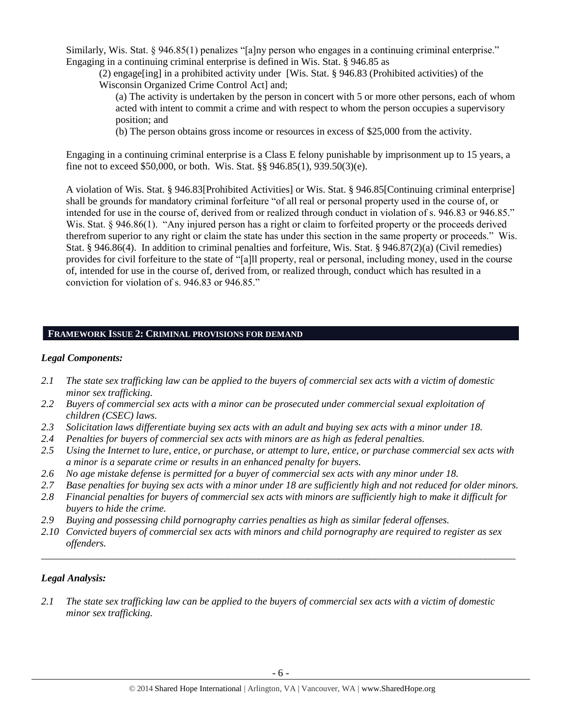Similarly, Wis. Stat. § 946.85(1) penalizes "[a]ny person who engages in a continuing criminal enterprise." Engaging in a continuing criminal enterprise is defined in Wis. Stat. § 946.85 as

(2) engage[ing] in a prohibited activity under [Wis. Stat. § 946.83 (Prohibited activities) of the Wisconsin Organized Crime Control Act] and;

(a) The activity is undertaken by the person in concert with 5 or more other persons, each of whom acted with intent to commit a crime and with respect to whom the person occupies a supervisory position; and

(b) The person obtains gross income or resources in excess of \$25,000 from the activity.

Engaging in a continuing criminal enterprise is a Class E felony punishable by imprisonment up to 15 years, a fine not to exceed \$50,000, or both. Wis. Stat. §§ 946.85(1), 939.50(3)(e).

A violation of Wis. Stat. § 946.83[Prohibited Activities] or Wis. Stat. § 946.85[Continuing criminal enterprise] shall be grounds for mandatory criminal forfeiture "of all real or personal property used in the course of, or intended for use in the course of, derived from or realized through conduct in violation of s. 946.83 or 946.85." Wis. Stat. § 946.86(1). "Any injured person has a right or claim to forfeited property or the proceeds derived therefrom superior to any right or claim the state has under this section in the same property or proceeds." Wis. Stat. § 946.86(4). In addition to criminal penalties and forfeiture, Wis. Stat. § 946.87(2)(a) (Civil remedies) provides for civil forfeiture to the state of "[a]ll property, real or personal, including money, used in the course of, intended for use in the course of, derived from, or realized through, conduct which has resulted in a conviction for violation of s. 946.83 or 946.85."

# **FRAMEWORK ISSUE 2: CRIMINAL PROVISIONS FOR DEMAND**

# *Legal Components:*

- *2.1 The state sex trafficking law can be applied to the buyers of commercial sex acts with a victim of domestic minor sex trafficking.*
- *2.2 Buyers of commercial sex acts with a minor can be prosecuted under commercial sexual exploitation of children (CSEC) laws.*
- *2.3 Solicitation laws differentiate buying sex acts with an adult and buying sex acts with a minor under 18.*
- *2.4 Penalties for buyers of commercial sex acts with minors are as high as federal penalties.*
- *2.5 Using the Internet to lure, entice, or purchase, or attempt to lure, entice, or purchase commercial sex acts with a minor is a separate crime or results in an enhanced penalty for buyers.*
- *2.6 No age mistake defense is permitted for a buyer of commercial sex acts with any minor under 18.*
- *2.7 Base penalties for buying sex acts with a minor under 18 are sufficiently high and not reduced for older minors.*
- *2.8 Financial penalties for buyers of commercial sex acts with minors are sufficiently high to make it difficult for buyers to hide the crime.*
- *2.9 Buying and possessing child pornography carries penalties as high as similar federal offenses.*
- *2.10 Convicted buyers of commercial sex acts with minors and child pornography are required to register as sex offenders.*

\_\_\_\_\_\_\_\_\_\_\_\_\_\_\_\_\_\_\_\_\_\_\_\_\_\_\_\_\_\_\_\_\_\_\_\_\_\_\_\_\_\_\_\_\_\_\_\_\_\_\_\_\_\_\_\_\_\_\_\_\_\_\_\_\_\_\_\_\_\_\_\_\_\_\_\_\_\_\_\_\_\_\_\_\_\_\_\_\_\_\_\_\_\_

## *Legal Analysis:*

*2.1 The state sex trafficking law can be applied to the buyers of commercial sex acts with a victim of domestic minor sex trafficking.*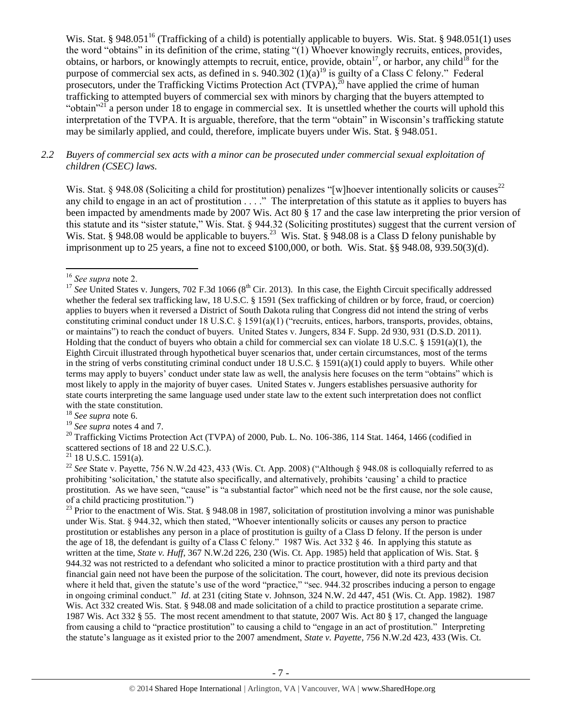<span id="page-6-0"></span>Wis. Stat. § 948.051<sup>16</sup> (Trafficking of a child) is potentially applicable to buyers. Wis. Stat. § 948.051(1) uses the word "obtains" in its definition of the crime, stating "(1) Whoever knowingly recruits, entices, provides, obtains, or harbors, or knowingly attempts to recruit, entice, provide, obtain<sup>17</sup>, or harbor, any child<sup>18</sup> for the purpose of commercial sex acts, as defined in s. 940.302  $(1)(a)^{19}$  is guilty of a Class C felony." Federal prosecutors, under the Trafficking Victims Protection Act  $(TVPA)$ ,  $^{20}$  have applied the crime of human trafficking to attempted buyers of commercial sex with minors by charging that the buyers attempted to "obtain"<sup>21</sup> a person under 18 to engage in commercial sex. It is unsettled whether the courts will uphold this interpretation of the TVPA. It is arguable, therefore, that the term "obtain" in Wisconsin's trafficking statute may be similarly applied, and could, therefore, implicate buyers under Wis. Stat. § 948.051.

## *2.2 Buyers of commercial sex acts with a minor can be prosecuted under commercial sexual exploitation of children (CSEC) laws.*

Wis. Stat. § 948.08 (Soliciting a child for prostitution) penalizes "[w]hoever intentionally solicits or causes<sup>22</sup> any child to engage in an act of prostitution . . . ." The interpretation of this statute as it applies to buyers has been impacted by amendments made by 2007 Wis. Act 80 § 17 and the case law interpreting the prior version of this statute and its "sister statute," Wis. Stat. § 944.32 (Soliciting prostitutes) suggest that the current version of Wis. Stat. § 948.08 would be applicable to buyers.<sup>23</sup> Wis. Stat. § 948.08 is a Class D felony punishable by imprisonment up to 25 years, a fine not to exceed \$100,000, or both. Wis. Stat. §§ 948.08, 939.50(3)(d).

l

<sup>18</sup> *See supra* note [6.](#page-1-0)

<sup>16</sup> *See supra* note [2.](#page-0-0)

<sup>&</sup>lt;sup>17</sup> See United States v. Jungers, 702 F.3d 1066 (8<sup>th</sup> Cir. 2013). In this case, the Eighth Circuit specifically addressed whether the federal sex trafficking law, 18 U.S.C. § 1591 (Sex trafficking of children or by force, fraud, or coercion) applies to buyers when it reversed a District of South Dakota ruling that Congress did not intend the string of verbs constituting criminal conduct under 18 U.S.C. § 1591(a)(1) ("recruits, entices, harbors, transports, provides, obtains, or maintains") to reach the conduct of buyers. United States v. Jungers, 834 F. Supp. 2d 930, 931 (D.S.D. 2011). Holding that the conduct of buyers who obtain a child for commercial sex can violate 18 U.S.C. § 1591(a)(1), the Eighth Circuit illustrated through hypothetical buyer scenarios that, under certain circumstances, most of the terms in the string of verbs constituting criminal conduct under 18 U.S.C. § 1591(a)(1) could apply to buyers. While other terms may apply to buyers' conduct under state law as well, the analysis here focuses on the term "obtains" which is most likely to apply in the majority of buyer cases. United States v. Jungers establishes persuasive authority for state courts interpreting the same language used under state law to the extent such interpretation does not conflict with the state constitution.

<sup>19</sup> *See supra* notes [4](#page-0-1) and [7.](#page-1-1)

<sup>&</sup>lt;sup>20</sup> Trafficking Victims Protection Act (TVPA) of 2000, Pub. L. No. 106-386, 114 Stat. 1464, 1466 (codified in scattered sections of 18 and 22 U.S.C.).

 $21$  18 U.S.C. 1591(a).

<sup>&</sup>lt;sup>22</sup> See State v. Payette, 756 N.W.2d 423, 433 (Wis. Ct. App. 2008) ("Although § 948.08 is colloquially referred to as prohibiting 'solicitation,' the statute also specifically, and alternatively, prohibits 'causing' a child to practice prostitution. As we have seen, "cause" is "a substantial factor" which need not be the first cause, nor the sole cause, of a child practicing prostitution.")

 $^{23}$  Prior to the enactment of Wis. Stat. § 948.08 in 1987, solicitation of prostitution involving a minor was punishable under Wis. Stat. § 944.32, which then stated, "Whoever intentionally solicits or causes any person to practice prostitution or establishes any person in a place of prostitution is guilty of a Class D felony. If the person is under the age of 18, the defendant is guilty of a Class C felony." 1987 Wis. Act 332 § 46. In applying this statute as written at the time, *State v. Huff*, 367 N.W.2d 226, 230 (Wis. Ct. App. 1985) held that application of Wis. Stat. § 944.32 was not restricted to a defendant who solicited a minor to practice prostitution with a third party and that financial gain need not have been the purpose of the solicitation. The court, however, did note its previous decision where it held that, given the statute's use of the word "practice," "sec. 944.32 proscribes inducing a person to engage in ongoing criminal conduct." *Id*. at 231 (citing State v. Johnson, 324 N.W. 2d 447, 451 (Wis. Ct. App. 1982). 1987 Wis. Act 332 created Wis. Stat. § 948.08 and made solicitation of a child to practice prostitution a separate crime. 1987 Wis. Act 332 § 55. The most recent amendment to that statute, 2007 Wis. Act 80 § 17, changed the language from causing a child to "practice prostitution" to causing a child to "engage in an act of prostitution." Interpreting the statute's language as it existed prior to the 2007 amendment, *State v. Payette*, 756 N.W.2d 423, 433 (Wis. Ct.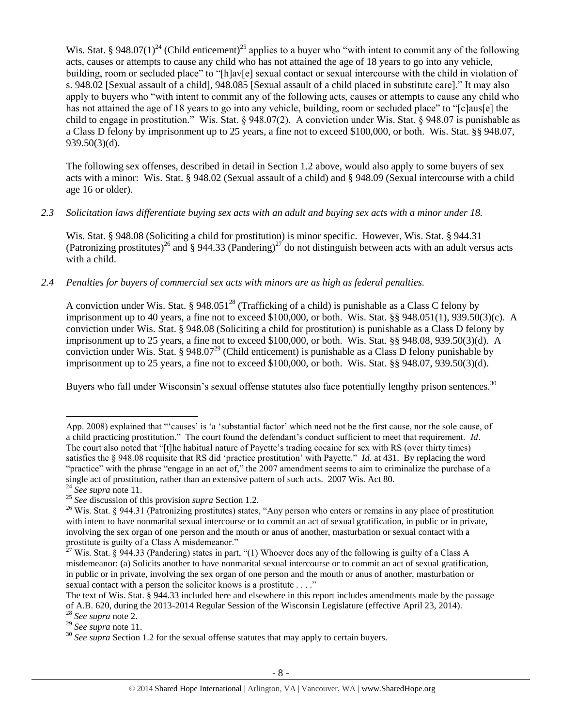Wis. Stat. § 948.07(1)<sup>24</sup> (Child enticement)<sup>25</sup> applies to a buyer who "with intent to commit any of the following acts, causes or attempts to cause any child who has not attained the age of 18 years to go into any vehicle, building, room or secluded place" to "[h]av[e] sexual contact or sexual intercourse with the child in violation of s. 948.02 [Sexual assault of a child], 948.085 [Sexual assault of a child placed in substitute care]." It may also apply to buyers who "with intent to commit any of the following acts, causes or attempts to cause any child who has not attained the age of 18 years to go into any vehicle, building, room or secluded place" to "[c]aus[e] the child to engage in prostitution." Wis. Stat. § 948.07(2). A conviction under Wis. Stat. § 948.07 is punishable as a Class D felony by imprisonment up to 25 years, a fine not to exceed \$100,000, or both. Wis. Stat. §§ 948.07, 939.50(3)(d).

The following sex offenses, described in detail in Section 1.2 above, would also apply to some buyers of sex acts with a minor: Wis. Stat. § 948.02 (Sexual assault of a child) and § 948.09 (Sexual intercourse with a child age 16 or older).

*2.3 Solicitation laws differentiate buying sex acts with an adult and buying sex acts with a minor under 18.*

Wis. Stat. § 948.08 (Soliciting a child for prostitution) is minor specific. However, Wis. Stat. § 944.31 (Patronizing prostitutes)<sup>26</sup> and § 944.33 (Pandering)<sup>27</sup> do not distinguish between acts with an adult versus acts with a child.

# *2.4 Penalties for buyers of commercial sex acts with minors are as high as federal penalties.*

A conviction under Wis. Stat. § 948.051<sup>28</sup> (Trafficking of a child) is punishable as a Class C felony by imprisonment up to 40 years, a fine not to exceed  $$100,000$ , or both. Wis. Stat. §§ 948.051(1), 939.50(3)(c). A conviction under Wis. Stat. § 948.08 (Soliciting a child for prostitution) is punishable as a Class D felony by imprisonment up to 25 years, a fine not to exceed \$100,000, or both. Wis. Stat. §§ 948.08, 939.50(3)(d). A conviction under Wis. Stat. § 948.07<sup>29</sup> (Child enticement) is punishable as a Class D felony punishable by imprisonment up to 25 years, a fine not to exceed \$100,000, or both. Wis. Stat. §§ 948.07, 939.50(3)(d).

Buyers who fall under Wisconsin's sexual offense statutes also face potentially lengthy prison sentences.<sup>30</sup>

App. 2008) explained that "'causes' is 'a 'substantial factor' which need not be the first cause, nor the sole cause, of a child practicing prostitution." The court found the defendant's conduct sufficient to meet that requirement. *Id*. The court also noted that "[t]he habitual nature of Payette's trading cocaine for sex with RS (over thirty times) satisfies the § 948.08 requisite that RS did 'practice prostitution' with Payette." *Id.* at 431. By replacing the word "practice" with the phrase "engage in an act of," the 2007 amendment seems to aim to criminalize the purchase of a single act of prostitution, rather than an extensive pattern of such acts. 2007 Wis. Act 80.

<sup>24</sup> *See supra* note [11.](#page-2-0)

<sup>25</sup> *See* discussion of this provision *supra* Section 1.2.

<sup>&</sup>lt;sup>26</sup> Wis. Stat. § 944.31 (Patronizing prostitutes) states, "Any person who enters or remains in any place of prostitution with intent to have nonmarital sexual intercourse or to commit an act of sexual gratification, in public or in private, involving the sex organ of one person and the mouth or anus of another, masturbation or sexual contact with a prostitute is guilty of a Class A misdemeanor."

<sup>&</sup>lt;sup>27</sup> Wis. Stat. § 944.33 (Pandering) states in part, "(1) Whoever does any of the following is guilty of a Class A misdemeanor: (a) Solicits another to have nonmarital sexual intercourse or to commit an act of sexual gratification, in public or in private, involving the sex organ of one person and the mouth or anus of another, masturbation or sexual contact with a person the solicitor knows is a prostitute . . . ."

The text of Wis. Stat. § 944.33 included here and elsewhere in this report includes amendments made by the passage of A.B. 620, during the 2013-2014 Regular Session of the Wisconsin Legislature (effective April 23, 2014).

<sup>28</sup> *See supra* note [2.](#page-0-0)

<sup>29</sup> *See supra* note [11.](#page-2-0)

<sup>&</sup>lt;sup>30</sup> See supra Section 1.2 for the sexual offense statutes that may apply to certain buyers.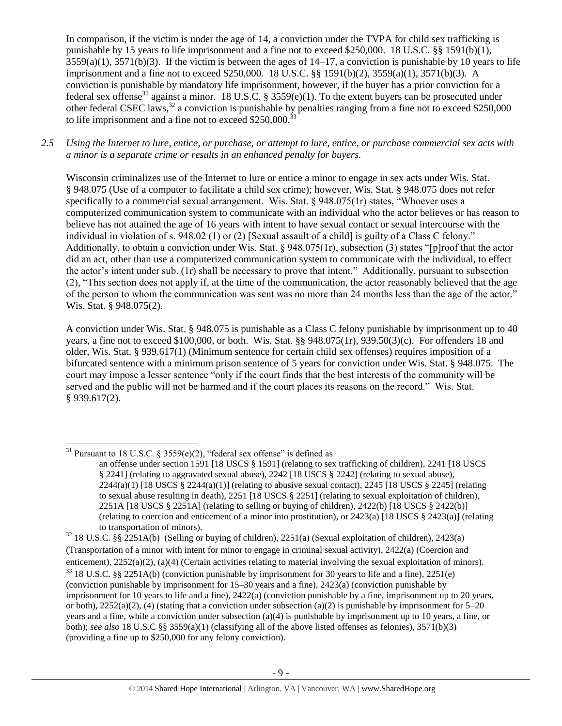<span id="page-8-0"></span>In comparison, if the victim is under the age of 14, a conviction under the TVPA for child sex trafficking is punishable by 15 years to life imprisonment and a fine not to exceed \$250,000. 18 U.S.C. §§ 1591(b)(1),  $3559(a)(1)$ ,  $3571(b)(3)$ . If the victim is between the ages of  $14-17$ , a conviction is punishable by 10 years to life imprisonment and a fine not to exceed \$250,000. 18 U.S.C. §§ 1591(b)(2), 3559(a)(1), 3571(b)(3). A conviction is punishable by mandatory life imprisonment, however, if the buyer has a prior conviction for a federal sex offense<sup>31</sup> against a minor. 18 U.S.C. § 3559(e)(1). To the extent buyers can be prosecuted under other federal CSEC laws,<sup>32</sup> a conviction is punishable by penalties ranging from a fine not to exceed \$250,000 to life imprisonment and a fine not to exceed  $$250,000$ .<sup>33</sup>

*2.5 Using the Internet to lure, entice, or purchase, or attempt to lure, entice, or purchase commercial sex acts with a minor is a separate crime or results in an enhanced penalty for buyers.*

Wisconsin criminalizes use of the Internet to lure or entice a minor to engage in sex acts under Wis. Stat. § 948.075 (Use of a computer to facilitate a child sex crime); however, Wis. Stat. § 948.075 does not refer specifically to a commercial sexual arrangement. Wis. Stat. § 948.075(1r) states, "Whoever uses a computerized communication system to communicate with an individual who the actor believes or has reason to believe has not attained the age of 16 years with intent to have sexual contact or sexual intercourse with the individual in violation of s. 948.02 (1) or (2) [Sexual assault of a child] is guilty of a Class C felony." Additionally, to obtain a conviction under Wis. Stat. § 948.075(1r), subsection (3) states "[p]roof that the actor did an act, other than use a computerized communication system to communicate with the individual, to effect the actor's intent under sub. (1r) shall be necessary to prove that intent." Additionally, pursuant to subsection (2), "This section does not apply if, at the time of the communication, the actor reasonably believed that the age of the person to whom the communication was sent was no more than 24 months less than the age of the actor." Wis. Stat. § 948.075(2).

A conviction under Wis. Stat. § 948.075 is punishable as a Class C felony punishable by imprisonment up to 40 years, a fine not to exceed \$100,000, or both. Wis. Stat. §§ 948.075(1r), 939.50(3)(c). For offenders 18 and older, Wis. Stat. § 939.617(1) (Minimum sentence for certain child sex offenses) requires imposition of a bifurcated sentence with a minimum prison sentence of 5 years for conviction under Wis. Stat. § 948.075. The court may impose a lesser sentence "only if the court finds that the best interests of the community will be served and the public will not be harmed and if the court places its reasons on the record." Wis. Stat. § 939.617(2).

 $\overline{\phantom{a}}$ 

<sup>32</sup> 18 U.S.C. §§ 2251A(b) (Selling or buying of children), 2251(a) (Sexual exploitation of children), 2423(a) (Transportation of a minor with intent for minor to engage in criminal sexual activity), 2422(a) (Coercion and enticement), 2252(a)(2), (a)(4) (Certain activities relating to material involving the sexual exploitation of minors).  $33$  18 U.S.C. §§ 2251A(b) (conviction punishable by imprisonment for 30 years to life and a fine), 2251(e) (conviction punishable by imprisonment for 15–30 years and a fine), 2423(a) (conviction punishable by imprisonment for 10 years to life and a fine), 2422(a) (conviction punishable by a fine, imprisonment up to 20 years, or both),  $2252(a)(2)$ , (4) (stating that a conviction under subsection (a)(2) is punishable by imprisonment for 5–20 years and a fine, while a conviction under subsection (a)(4) is punishable by imprisonment up to 10 years, a fine, or both); *see also* 18 U.S.C §§ 3559(a)(1) (classifying all of the above listed offenses as felonies), 3571(b)(3) (providing a fine up to \$250,000 for any felony conviction).

<sup>&</sup>lt;sup>31</sup> Pursuant to 18 U.S.C. § 3559(e)(2), "federal sex offense" is defined as

an offense under section 1591 [18 USCS § 1591] (relating to sex trafficking of children), 2241 [18 USCS § 2241] (relating to aggravated sexual abuse), 2242 [18 USCS § 2242] (relating to sexual abuse),  $2244(a)(1)$  [18 USCS §  $2244(a)(1)$ ] (relating to abusive sexual contact),  $2245$  [18 USCS § 2245] (relating to sexual abuse resulting in death), 2251 [18 USCS § 2251] (relating to sexual exploitation of children), 2251A [18 USCS § 2251A] (relating to selling or buying of children), 2422(b) [18 USCS § 2422(b)] (relating to coercion and enticement of a minor into prostitution), or 2423(a) [18 USCS § 2423(a)] (relating to transportation of minors).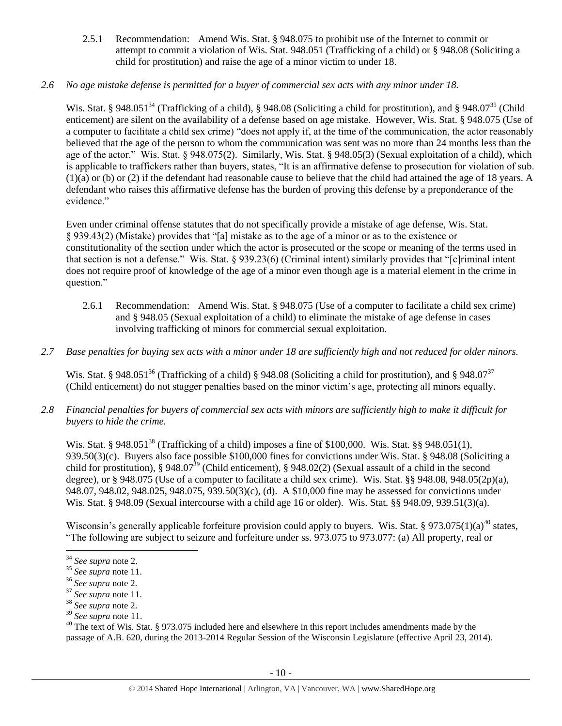2.5.1 Recommendation: Amend Wis. Stat. § 948.075 to prohibit use of the Internet to commit or attempt to commit a violation of Wis. Stat. 948.051 (Trafficking of a child) or § 948.08 (Soliciting a child for prostitution) and raise the age of a minor victim to under 18.

# *2.6 No age mistake defense is permitted for a buyer of commercial sex acts with any minor under 18.*

Wis. Stat. § 948.051<sup>34</sup> (Trafficking of a child), § 948.08 (Soliciting a child for prostitution), and § 948.07<sup>35</sup> (Child enticement) are silent on the availability of a defense based on age mistake. However, Wis. Stat. § 948.075 (Use of a computer to facilitate a child sex crime) "does not apply if, at the time of the communication, the actor reasonably believed that the age of the person to whom the communication was sent was no more than 24 months less than the age of the actor." Wis. Stat. § 948.075(2). Similarly, Wis. Stat. § 948.05(3) (Sexual exploitation of a child), which is applicable to traffickers rather than buyers, states, "It is an affirmative defense to prosecution for violation of sub. (1)(a) or (b) or (2) if the defendant had reasonable cause to believe that the child had attained the age of 18 years. A defendant who raises this affirmative defense has the burden of proving this defense by a preponderance of the evidence."

Even under criminal offense statutes that do not specifically provide a mistake of age defense, Wis. Stat. § 939.43(2) (Mistake) provides that "[a] mistake as to the age of a minor or as to the existence or constitutionality of the section under which the actor is prosecuted or the scope or meaning of the terms used in that section is not a defense." Wis. Stat. § 939.23(6) (Criminal intent) similarly provides that "[c]riminal intent does not require proof of knowledge of the age of a minor even though age is a material element in the crime in question."

- 2.6.1 Recommendation: Amend Wis. Stat. § 948.075 (Use of a computer to facilitate a child sex crime) and § 948.05 (Sexual exploitation of a child) to eliminate the mistake of age defense in cases involving trafficking of minors for commercial sexual exploitation.
- *2.7 Base penalties for buying sex acts with a minor under 18 are sufficiently high and not reduced for older minors.*

Wis. Stat. § 948.051<sup>36</sup> (Trafficking of a child) § 948.08 (Soliciting a child for prostitution), and § 948.07<sup>37</sup> (Child enticement) do not stagger penalties based on the minor victim's age, protecting all minors equally.

*2.8 Financial penalties for buyers of commercial sex acts with minors are sufficiently high to make it difficult for buyers to hide the crime.* 

Wis. Stat. § 948.051<sup>38</sup> (Trafficking of a child) imposes a fine of \$100,000. Wis. Stat. §§ 948.051(1), 939.50(3)(c). Buyers also face possible \$100,000 fines for convictions under Wis. Stat. § 948.08 (Soliciting a child for prostitution), § 948.07<sup>39</sup> (Child enticement), § 948.02(2) (Sexual assault of a child in the second degree), or § 948.075 (Use of a computer to facilitate a child sex crime). Wis. Stat. §§ 948.08, 948.05(2p)(a), 948.07, 948.02, 948.025, 948.075, 939.50(3)(c), (d). A \$10,000 fine may be assessed for convictions under Wis. Stat. § 948.09 (Sexual intercourse with a child age 16 or older). Wis. Stat. §§ 948.09, 939.51(3)(a).

<span id="page-9-0"></span>Wisconsin's generally applicable forfeiture provision could apply to buyers. Wis. Stat. § 973.075(1)(a)<sup>40</sup> states, "The following are subject to seizure and forfeiture under ss. 973.075 to 973.077: (a) All property, real or

<sup>34</sup> *See supra* note [2.](#page-0-0)

<sup>35</sup> *See supra* note [11.](#page-2-0)

<sup>36</sup> *See supra* note [2.](#page-0-0)

<sup>37</sup> *See supra* note [11.](#page-2-0)

<sup>38</sup> *See supra* note [2.](#page-0-0)

<sup>39</sup> *See supra* note [11.](#page-2-0)

<sup>&</sup>lt;sup>40</sup> The text of Wis. Stat. § 973.075 included here and elsewhere in this report includes amendments made by the passage of A.B. 620, during the 2013-2014 Regular Session of the Wisconsin Legislature (effective April 23, 2014).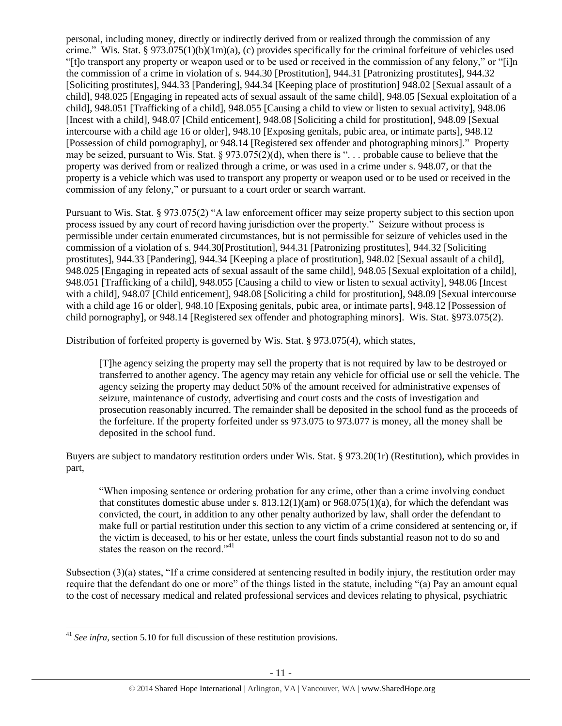personal, including money, directly or indirectly derived from or realized through the commission of any crime." Wis. Stat. § 973.075(1)(b)(1m)(a), (c) provides specifically for the criminal forfeiture of vehicles used "[t]o transport any property or weapon used or to be used or received in the commission of any felony," or "[i]n the commission of a crime in violation of s. 944.30 [Prostitution], 944.31 [Patronizing prostitutes], 944.32 [Soliciting prostitutes], 944.33 [Pandering], 944.34 [Keeping place of prostitution] 948.02 [Sexual assault of a child], 948.025 [Engaging in repeated acts of sexual assault of the same child], 948.05 [Sexual exploitation of a child], 948.051 [Trafficking of a child], 948.055 [Causing a child to view or listen to sexual activity], 948.06 [Incest with a child], 948.07 [Child enticement], 948.08 [Soliciting a child for prostitution], 948.09 [Sexual intercourse with a child age 16 or older], 948.10 [Exposing genitals, pubic area, or intimate parts], 948.12 [Possession of child pornography], or 948.14 [Registered sex offender and photographing minors]." Property may be seized, pursuant to Wis. Stat. § 973.075(2)(d), when there is ". . . probable cause to believe that the property was derived from or realized through a crime, or was used in a crime under s. 948.07, or that the property is a vehicle which was used to transport any property or weapon used or to be used or received in the commission of any felony," or pursuant to a court order or search warrant.

Pursuant to Wis. Stat. § 973.075(2) "A law enforcement officer may seize property subject to this section upon process issued by any court of record having jurisdiction over the property." Seizure without process is permissible under certain enumerated circumstances, but is not permissible for seizure of vehicles used in the commission of a violation of s. 944.30[Prostitution], 944.31 [Patronizing prostitutes], 944.32 [Soliciting prostitutes], 944.33 [Pandering], 944.34 [Keeping a place of prostitution], 948.02 [Sexual assault of a child], 948.025 [Engaging in repeated acts of sexual assault of the same child], 948.05 [Sexual exploitation of a child], 948.051 [Trafficking of a child], 948.055 [Causing a child to view or listen to sexual activity], 948.06 [Incest with a child], 948.07 [Child enticement], 948.08 [Soliciting a child for prostitution], 948.09 [Sexual intercourse with a child age 16 or older], 948.10 [Exposing genitals, pubic area, or intimate parts], 948.12 [Possession of child pornography], or 948.14 [Registered sex offender and photographing minors]. Wis. Stat. §973.075(2).

Distribution of forfeited property is governed by Wis. Stat. § 973.075(4), which states,

[T]he agency seizing the property may sell the property that is not required by law to be destroyed or transferred to another agency. The agency may retain any vehicle for official use or sell the vehicle. The agency seizing the property may deduct 50% of the amount received for administrative expenses of seizure, maintenance of custody, advertising and court costs and the costs of investigation and prosecution reasonably incurred. The remainder shall be deposited in the school fund as the proceeds of the forfeiture. If the property forfeited under ss 973.075 to 973.077 is money, all the money shall be deposited in the school fund.

Buyers are subject to mandatory restitution orders under Wis. Stat. § 973.20(1r) (Restitution), which provides in part,

"When imposing sentence or ordering probation for any crime, other than a crime involving conduct that constitutes domestic abuse under s.  $813.12(1)(am)$  or  $968.075(1)(a)$ , for which the defendant was convicted, the court, in addition to any other penalty authorized by law, shall order the defendant to make full or partial restitution under this section to any victim of a crime considered at sentencing or, if the victim is deceased, to his or her estate, unless the court finds substantial reason not to do so and states the reason on the record."<sup>41</sup>

Subsection (3)(a) states, "If a crime considered at sentencing resulted in bodily injury, the restitution order may require that the defendant do one or more" of the things listed in the statute, including "(a) Pay an amount equal to the cost of necessary medical and related professional services and devices relating to physical, psychiatric

 $\overline{a}$ <sup>41</sup> *See infra*, section 5.10 for full discussion of these restitution provisions.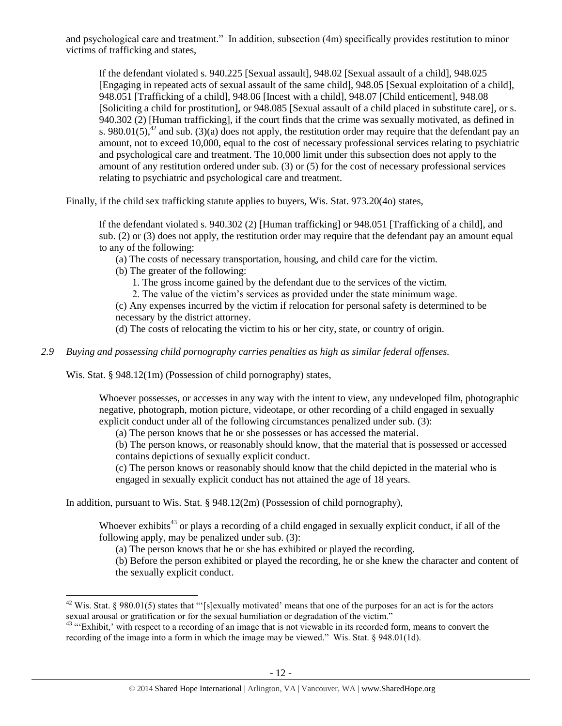and psychological care and treatment." In addition, subsection (4m) specifically provides restitution to minor victims of trafficking and states,

<span id="page-11-1"></span>If the defendant violated s. 940.225 [Sexual assault], 948.02 [Sexual assault of a child], 948.025 [Engaging in repeated acts of sexual assault of the same child], 948.05 [Sexual exploitation of a child], 948.051 [Trafficking of a child], 948.06 [Incest with a child], 948.07 [Child enticement], 948.08 [Soliciting a child for prostitution], or 948.085 [Sexual assault of a child placed in substitute care], or s. 940.302 (2) [Human trafficking], if the court finds that the crime was sexually motivated, as defined in s. 980.01(5), $^{42}$  and sub. (3)(a) does not apply, the restitution order may require that the defendant pay an amount, not to exceed 10,000, equal to the cost of necessary professional services relating to psychiatric and psychological care and treatment. The 10,000 limit under this subsection does not apply to the amount of any restitution ordered under sub. (3) or (5) for the cost of necessary professional services relating to psychiatric and psychological care and treatment.

Finally, if the child sex trafficking statute applies to buyers, Wis. Stat. 973.20(4o) states,

If the defendant violated s. 940.302 (2) [Human trafficking] or 948.051 [Trafficking of a child], and sub. (2) or (3) does not apply, the restitution order may require that the defendant pay an amount equal to any of the following:

(a) The costs of necessary transportation, housing, and child care for the victim.

(b) The greater of the following:

1. The gross income gained by the defendant due to the services of the victim.

2. The value of the victim's services as provided under the state minimum wage.

(c) Any expenses incurred by the victim if relocation for personal safety is determined to be necessary by the district attorney.

(d) The costs of relocating the victim to his or her city, state, or country of origin.

## *2.9 Buying and possessing child pornography carries penalties as high as similar federal offenses.*

Wis. Stat. § 948.12(1m) (Possession of child pornography) states,

 $\overline{a}$ 

Whoever possesses, or accesses in any way with the intent to view, any undeveloped film, photographic negative, photograph, motion picture, videotape, or other recording of a child engaged in sexually explicit conduct under all of the following circumstances penalized under sub. (3):

(a) The person knows that he or she possesses or has accessed the material.

(b) The person knows, or reasonably should know, that the material that is possessed or accessed contains depictions of sexually explicit conduct.

(c) The person knows or reasonably should know that the child depicted in the material who is engaged in sexually explicit conduct has not attained the age of 18 years.

In addition, pursuant to Wis. Stat. § 948.12(2m) (Possession of child pornography),

Whoever exhibits<sup>43</sup> or plays a recording of a child engaged in sexually explicit conduct, if all of the following apply, may be penalized under sub. (3):

<span id="page-11-0"></span>(a) The person knows that he or she has exhibited or played the recording.

(b) Before the person exhibited or played the recording, he or she knew the character and content of the sexually explicit conduct.

 $42$  Wis. Stat. § 980.01(5) states that "'[s]exually motivated' means that one of the purposes for an act is for the actors sexual arousal or gratification or for the sexual humiliation or degradation of the victim."

<sup>&</sup>lt;sup>43</sup> "Exhibit,' with respect to a recording of an image that is not viewable in its recorded form, means to convert the recording of the image into a form in which the image may be viewed." Wis. Stat. § 948.01(1d).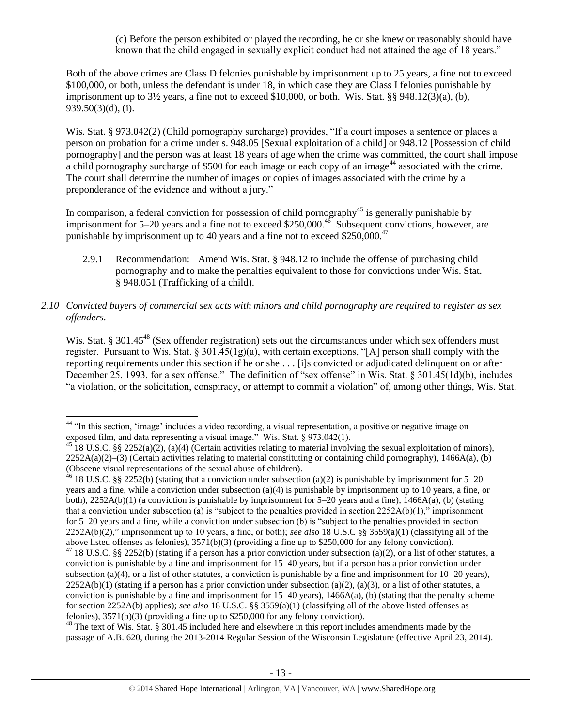<span id="page-12-0"></span>(c) Before the person exhibited or played the recording, he or she knew or reasonably should have known that the child engaged in sexually explicit conduct had not attained the age of 18 years."

Both of the above crimes are Class D felonies punishable by imprisonment up to 25 years, a fine not to exceed \$100,000, or both, unless the defendant is under 18, in which case they are Class I felonies punishable by imprisonment up to  $3\frac{1}{2}$  years, a fine not to exceed \$10,000, or both. Wis. Stat. §§ 948.12(3)(a), (b), 939.50(3)(d), (i).

Wis. Stat. § 973.042(2) (Child pornography surcharge) provides, "If a court imposes a sentence or places a person on probation for a crime under s. 948.05 [Sexual exploitation of a child] or 948.12 [Possession of child pornography] and the person was at least 18 years of age when the crime was committed, the court shall impose a child pornography surcharge of \$500 for each image or each copy of an image<sup>44</sup> associated with the crime. The court shall determine the number of images or copies of images associated with the crime by a preponderance of the evidence and without a jury."

In comparison, a federal conviction for possession of child pornography<sup>45</sup> is generally punishable by imprisonment for 5–20 years and a fine not to exceed \$250,000.<sup>46</sup> Subsequent convictions, however, are punishable by imprisonment up to 40 years and a fine not to exceed  $$250,000.<sup>47</sup>$ 

- 2.9.1 Recommendation: Amend Wis. Stat. § 948.12 to include the offense of purchasing child pornography and to make the penalties equivalent to those for convictions under Wis. Stat. § 948.051 (Trafficking of a child).
- *2.10 Convicted buyers of commercial sex acts with minors and child pornography are required to register as sex offenders.*

<span id="page-12-1"></span>Wis. Stat. § 301.45<sup>48</sup> (Sex offender registration) sets out the circumstances under which sex offenders must register. Pursuant to Wis. Stat.  $\S 301.45(1g)(a)$ , with certain exceptions, "[A] person shall comply with the reporting requirements under this section if he or she . . . [i]s convicted or adjudicated delinquent on or after December 25, 1993, for a sex offense." The definition of "sex offense" in Wis. Stat. § 301.45(1d)(b), includes "a violation, or the solicitation, conspiracy, or attempt to commit a violation" of, among other things, Wis. Stat.

 $\overline{\phantom{a}}$ 

<sup>48</sup> The text of Wis. Stat. § 301.45 included here and elsewhere in this report includes amendments made by the passage of A.B. 620, during the 2013-2014 Regular Session of the Wisconsin Legislature (effective April 23, 2014).

<sup>&</sup>lt;sup>44</sup> "In this section, 'image' includes a video recording, a visual representation, a positive or negative image on exposed film, and data representing a visual image." Wis. Stat. § 973.042(1).

<sup>&</sup>lt;sup>45</sup> 18 U.S.C. §§ 2252(a)(2), (a)(4) (Certain activities relating to material involving the sexual exploitation of minors),  $2252A(a)(2)$ –(3) (Certain activities relating to material constituting or containing child pornography), 1466A(a), (b) (Obscene visual representations of the sexual abuse of children).

 $46$  18 U.S.C. §§ 2252(b) (stating that a conviction under subsection (a)(2) is punishable by imprisonment for 5–20 years and a fine, while a conviction under subsection (a)(4) is punishable by imprisonment up to 10 years, a fine, or both),  $2252A(b)(1)$  (a conviction is punishable by imprisonment for 5–20 years and a fine),  $1466A(a)$ , (b) (stating that a conviction under subsection (a) is "subject to the penalties provided in section  $2252A(b)(1)$ ," imprisonment for 5–20 years and a fine, while a conviction under subsection (b) is "subject to the penalties provided in section 2252A(b)(2)," imprisonment up to 10 years, a fine, or both); *see also* 18 U.S.C §§ 3559(a)(1) (classifying all of the above listed offenses as felonies), 3571(b)(3) (providing a fine up to \$250,000 for any felony conviction).

<sup>&</sup>lt;sup>47</sup> 18 U.S.C. §§ 2252(b) (stating if a person has a prior conviction under subsection (a)(2), or a list of other statutes, a conviction is punishable by a fine and imprisonment for 15–40 years, but if a person has a prior conviction under subsection (a)(4), or a list of other statutes, a conviction is punishable by a fine and imprisonment for  $10-20$  years),  $2252A(b)(1)$  (stating if a person has a prior conviction under subsection (a)(2), (a)(3), or a list of other statutes, a conviction is punishable by a fine and imprisonment for  $15-40$  years),  $1466A(a)$ , (b) (stating that the penalty scheme for section 2252A(b) applies); *see also* 18 U.S.C. §§ 3559(a)(1) (classifying all of the above listed offenses as felonies), 3571(b)(3) (providing a fine up to \$250,000 for any felony conviction).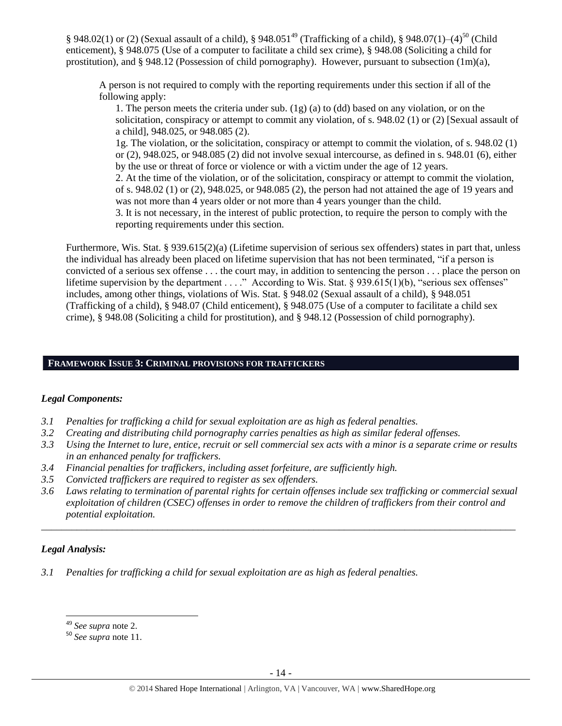§ 948.02(1) or (2) (Sexual assault of a child), § 948.051<sup>49</sup> (Trafficking of a child), § 948.07(1)–(4)<sup>50</sup> (Child enticement), § 948.075 (Use of a computer to facilitate a child sex crime), § 948.08 (Soliciting a child for prostitution), and § 948.12 (Possession of child pornography). However, pursuant to subsection (1m)(a),

A person is not required to comply with the reporting requirements under this section if all of the following apply:

1. The person meets the criteria under sub.  $(1g)$  (a) to (dd) based on any violation, or on the solicitation, conspiracy or attempt to commit any violation, of s. 948.02 (1) or (2) [Sexual assault of a child], 948.025, or 948.085 (2).

1g. The violation, or the solicitation, conspiracy or attempt to commit the violation, of s. 948.02 (1) or (2), 948.025, or 948.085 (2) did not involve sexual intercourse, as defined in s. 948.01 (6), either by the use or threat of force or violence or with a victim under the age of 12 years.

2. At the time of the violation, or of the solicitation, conspiracy or attempt to commit the violation, of s. 948.02 (1) or (2), 948.025, or 948.085 (2), the person had not attained the age of 19 years and was not more than 4 years older or not more than 4 years younger than the child.

3. It is not necessary, in the interest of public protection, to require the person to comply with the reporting requirements under this section.

Furthermore, Wis. Stat. § 939.615(2)(a) (Lifetime supervision of serious sex offenders) states in part that, unless the individual has already been placed on lifetime supervision that has not been terminated, "if a person is convicted of a serious sex offense . . . the court may, in addition to sentencing the person . . . place the person on lifetime supervision by the department . . . ." According to Wis. Stat. § 939.615(1)(b), "serious sex offenses" includes, among other things, violations of Wis. Stat. § 948.02 (Sexual assault of a child), § 948.051 (Trafficking of a child), § 948.07 (Child enticement), § 948.075 (Use of a computer to facilitate a child sex crime), § 948.08 (Soliciting a child for prostitution), and § 948.12 (Possession of child pornography).

# **FRAMEWORK ISSUE 3: CRIMINAL PROVISIONS FOR TRAFFICKERS**

## *Legal Components:*

- *3.1 Penalties for trafficking a child for sexual exploitation are as high as federal penalties.*
- *3.2 Creating and distributing child pornography carries penalties as high as similar federal offenses.*
- *3.3 Using the Internet to lure, entice, recruit or sell commercial sex acts with a minor is a separate crime or results in an enhanced penalty for traffickers.*
- *3.4 Financial penalties for traffickers, including asset forfeiture, are sufficiently high.*
- *3.5 Convicted traffickers are required to register as sex offenders.*
- *3.6 Laws relating to termination of parental rights for certain offenses include sex trafficking or commercial sexual exploitation of children (CSEC) offenses in order to remove the children of traffickers from their control and potential exploitation.*

*\_\_\_\_\_\_\_\_\_\_\_\_\_\_\_\_\_\_\_\_\_\_\_\_\_\_\_\_\_\_\_\_\_\_\_\_\_\_\_\_\_\_\_\_\_\_\_\_\_\_\_\_\_\_\_\_\_\_\_\_\_\_\_\_\_\_\_\_\_\_\_\_\_\_\_\_\_\_\_\_\_\_\_\_\_\_\_\_\_\_\_\_\_\_*

# *Legal Analysis:*

l

*3.1 Penalties for trafficking a child for sexual exploitation are as high as federal penalties.* 

<sup>49</sup> *See supra* note [2.](#page-0-0)

<sup>50</sup> *See supra* note [11.](#page-2-0)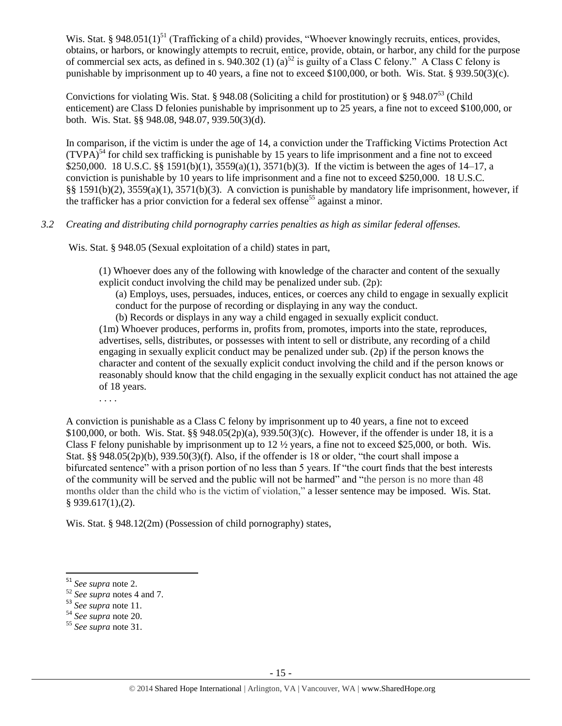Wis. Stat. § 948.051(1)<sup>51</sup> (Trafficking of a child) provides, "Whoever knowingly recruits, entices, provides, obtains, or harbors, or knowingly attempts to recruit, entice, provide, obtain, or harbor, any child for the purpose of commercial sex acts, as defined in s. 940.302 (1) (a)<sup>52</sup> is guilty of a Class C felony." A Class C felony is punishable by imprisonment up to 40 years, a fine not to exceed \$100,000, or both. Wis. Stat. § 939.50(3)(c).

Convictions for violating Wis. Stat. § 948.08 (Soliciting a child for prostitution) or § 948.07<sup>53</sup> (Child enticement) are Class D felonies punishable by imprisonment up to 25 years, a fine not to exceed \$100,000, or both. Wis. Stat. §§ 948.08, 948.07, 939.50(3)(d).

In comparison, if the victim is under the age of 14, a conviction under the Trafficking Victims Protection Act  $(TVPA)^{54}$  for child sex trafficking is punishable by 15 years to life imprisonment and a fine not to exceed \$250,000. 18 U.S.C. §§ 1591(b)(1), 3559(a)(1), 3571(b)(3). If the victim is between the ages of 14–17, a conviction is punishable by 10 years to life imprisonment and a fine not to exceed \$250,000. 18 U.S.C. §§ 1591(b)(2), 3559(a)(1), 3571(b)(3). A conviction is punishable by mandatory life imprisonment, however, if the trafficker has a prior conviction for a federal sex offense<sup>55</sup> against a minor.

# *3.2 Creating and distributing child pornography carries penalties as high as similar federal offenses.*

Wis. Stat. § 948.05 (Sexual exploitation of a child) states in part,

(1) Whoever does any of the following with knowledge of the character and content of the sexually explicit conduct involving the child may be penalized under sub. (2p):

- (a) Employs, uses, persuades, induces, entices, or coerces any child to engage in sexually explicit conduct for the purpose of recording or displaying in any way the conduct.
- (b) Records or displays in any way a child engaged in sexually explicit conduct.

(1m) Whoever produces, performs in, profits from, promotes, imports into the state, reproduces, advertises, sells, distributes, or possesses with intent to sell or distribute, any recording of a child engaging in sexually explicit conduct may be penalized under sub. (2p) if the person knows the character and content of the sexually explicit conduct involving the child and if the person knows or reasonably should know that the child engaging in the sexually explicit conduct has not attained the age of 18 years.

. . . .

A conviction is punishable as a Class C felony by imprisonment up to 40 years, a fine not to exceed \$100,000, or both. Wis. Stat. §§ 948.05(2p)(a), 939.50(3)(c). However, if the offender is under 18, it is a Class F felony punishable by imprisonment up to  $12\frac{1}{2}$  years, a fine not to exceed \$25,000, or both. Wis. Stat. §§ 948.05(2p)(b), 939.50(3)(f). Also, if the offender is 18 or older, "the court shall impose a bifurcated sentence" with a prison portion of no less than 5 years. If "the court finds that the best interests of the community will be served and the public will not be harmed" and "the person is no more than 48 months older than the child who is the victim of violation," a lesser sentence may be imposed. Wis. Stat. § 939.617(1),(2).

Wis. Stat. § 948.12(2m) (Possession of child pornography) states,

<sup>51</sup> *See supra* note [2.](#page-0-0)

<sup>52</sup> *See supra* notes [4](#page-0-1) and [7.](#page-1-1)

<sup>53</sup> *See supra* note [11.](#page-2-0)

<sup>54</sup> *See supra* note [20.](#page-6-0)

<sup>55</sup> *See supra* note [31.](#page-8-0)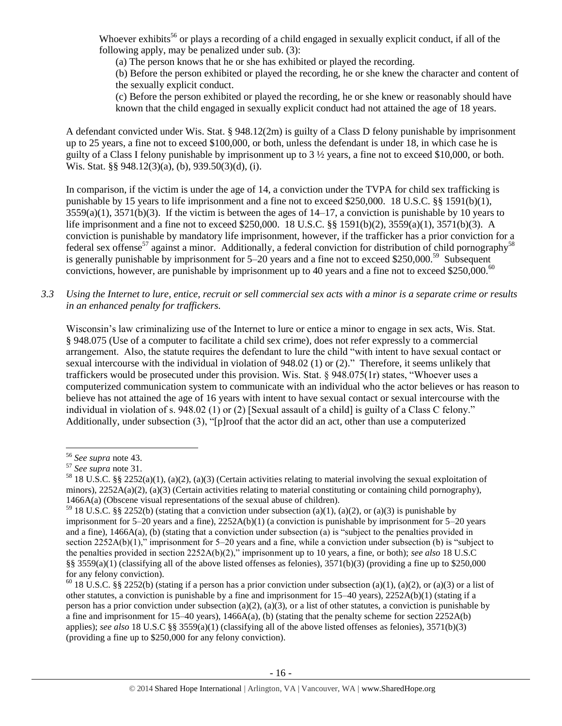Whoever exhibits<sup>56</sup> or plays a recording of a child engaged in sexually explicit conduct, if all of the following apply, may be penalized under sub. (3):

(a) The person knows that he or she has exhibited or played the recording.

(b) Before the person exhibited or played the recording, he or she knew the character and content of the sexually explicit conduct.

(c) Before the person exhibited or played the recording, he or she knew or reasonably should have known that the child engaged in sexually explicit conduct had not attained the age of 18 years.

A defendant convicted under Wis. Stat. § 948.12(2m) is guilty of a Class D felony punishable by imprisonment up to 25 years, a fine not to exceed \$100,000, or both, unless the defendant is under 18, in which case he is guilty of a Class I felony punishable by imprisonment up to 3 ½ years, a fine not to exceed \$10,000, or both. Wis. Stat. §§ 948.12(3)(a), (b), 939.50(3)(d), (i).

In comparison, if the victim is under the age of 14, a conviction under the TVPA for child sex trafficking is punishable by 15 years to life imprisonment and a fine not to exceed \$250,000. 18 U.S.C. §§ 1591(b)(1),  $3559(a)(1)$ ,  $3571(b)(3)$ . If the victim is between the ages of  $14-17$ , a conviction is punishable by 10 years to life imprisonment and a fine not to exceed \$250,000. 18 U.S.C. §§ 1591(b)(2), 3559(a)(1), 3571(b)(3). A conviction is punishable by mandatory life imprisonment, however, if the trafficker has a prior conviction for a federal sex offense<sup>57</sup> against a minor. Additionally, a federal conviction for distribution of child pornography<sup>58</sup> is generally punishable by imprisonment for 5–20 years and a fine not to exceed \$250,000.<sup>59</sup> Subsequent convictions, however, are punishable by imprisonment up to 40 years and a fine not to exceed \$250,000.<sup>60</sup>

*3.3 Using the Internet to lure, entice, recruit or sell commercial sex acts with a minor is a separate crime or results in an enhanced penalty for traffickers.*

Wisconsin's law criminalizing use of the Internet to lure or entice a minor to engage in sex acts, Wis. Stat. § 948.075 (Use of a computer to facilitate a child sex crime), does not refer expressly to a commercial arrangement. Also, the statute requires the defendant to lure the child "with intent to have sexual contact or sexual intercourse with the individual in violation of 948.02 (1) or (2)." Therefore, it seems unlikely that traffickers would be prosecuted under this provision. Wis. Stat. § 948.075(1r) states, "Whoever uses a computerized communication system to communicate with an individual who the actor believes or has reason to believe has not attained the age of 16 years with intent to have sexual contact or sexual intercourse with the individual in violation of s. 948.02 (1) or (2) [Sexual assault of a child] is guilty of a Class C felony." Additionally, under subsection (3), "[p]roof that the actor did an act, other than use a computerized

<sup>56</sup> *See supra* note [43.](#page-11-0)

<sup>57</sup> *See supra* note [31.](#page-8-0)

<sup>58</sup> 18 U.S.C. §§ 2252(a)(1), (a)(2), (a)(3) (Certain activities relating to material involving the sexual exploitation of minors),  $2252A(a)(2)$ , (a)(3) (Certain activities relating to material constituting or containing child pornography), 1466A(a) (Obscene visual representations of the sexual abuse of children).

<sup>&</sup>lt;sup>59</sup> 18 U.S.C. §§ 2252(b) (stating that a conviction under subsection (a)(1), (a)(2), or (a)(3) is punishable by imprisonment for  $5-20$  years and a fine),  $2252A(b)(1)$  (a conviction is punishable by imprisonment for  $5-20$  years and a fine), 1466A(a), (b) (stating that a conviction under subsection (a) is "subject to the penalties provided in section 2252A(b)(1)," imprisonment for 5–20 years and a fine, while a conviction under subsection (b) is "subject to the penalties provided in section 2252A(b)(2)," imprisonment up to 10 years, a fine, or both); *see also* 18 U.S.C §§ 3559(a)(1) (classifying all of the above listed offenses as felonies),  $3571(b)(3)$  (providing a fine up to \$250,000 for any felony conviction).

<sup>&</sup>lt;sup>60</sup> 18 U.S.C. §§ 2252(b) (stating if a person has a prior conviction under subsection (a)(1), (a)(2), or (a)(3) or a list of other statutes, a conviction is punishable by a fine and imprisonment for 15–40 years), 2252A(b)(1) (stating if a person has a prior conviction under subsection (a)(2), (a)(3), or a list of other statutes, a conviction is punishable by a fine and imprisonment for  $15-40$  years),  $1466A(a)$ , (b) (stating that the penalty scheme for section  $2252A(b)$ applies); *see also* 18 U.S.C §§ 3559(a)(1) (classifying all of the above listed offenses as felonies), 3571(b)(3) (providing a fine up to \$250,000 for any felony conviction).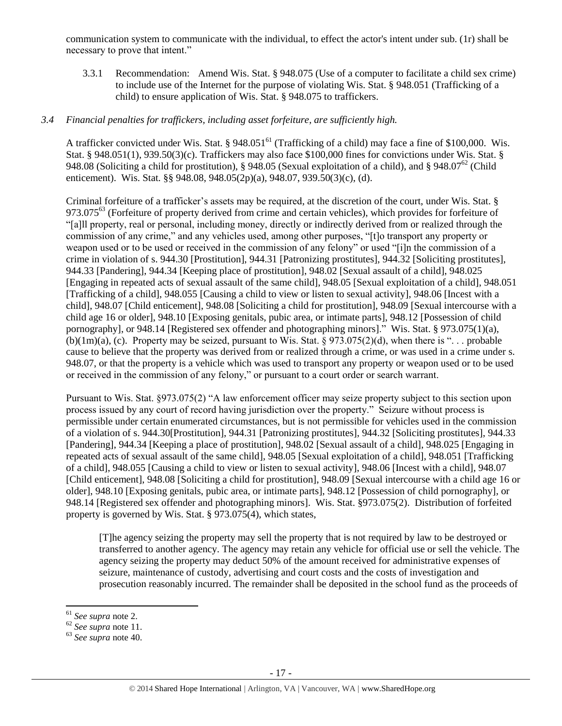communication system to communicate with the individual, to effect the actor's intent under sub. (1r) shall be necessary to prove that intent."

3.3.1 Recommendation: Amend Wis. Stat. § 948.075 (Use of a computer to facilitate a child sex crime) to include use of the Internet for the purpose of violating Wis. Stat. § 948.051 (Trafficking of a child) to ensure application of Wis. Stat. § 948.075 to traffickers.

# *3.4 Financial penalties for traffickers, including asset forfeiture, are sufficiently high.*

A trafficker convicted under Wis. Stat. § 948.051<sup>61</sup> (Trafficking of a child) may face a fine of \$100,000. Wis. Stat. § 948.051(1), 939.50(3)(c). Traffickers may also face \$100,000 fines for convictions under Wis. Stat. § 948.08 (Soliciting a child for prostitution), § 948.05 (Sexual exploitation of a child), and § 948.07<sup>62</sup> (Child enticement). Wis. Stat. §§ 948.08, 948.05(2p)(a), 948.07, 939.50(3)(c), (d).

Criminal forfeiture of a trafficker's assets may be required, at the discretion of the court, under Wis. Stat. § 973.075<sup>63</sup> (Forfeiture of property derived from crime and certain vehicles), which provides for forfeiture of "[a]ll property, real or personal, including money, directly or indirectly derived from or realized through the commission of any crime," and any vehicles used, among other purposes, "[t]o transport any property or weapon used or to be used or received in the commission of any felony" or used "[i]n the commission of a crime in violation of s. 944.30 [Prostitution], 944.31 [Patronizing prostitutes], 944.32 [Soliciting prostitutes], 944.33 [Pandering], 944.34 [Keeping place of prostitution], 948.02 [Sexual assault of a child], 948.025 [Engaging in repeated acts of sexual assault of the same child], 948.05 [Sexual exploitation of a child], 948.051 [Trafficking of a child], 948.055 [Causing a child to view or listen to sexual activity], 948.06 [Incest with a child], 948.07 [Child enticement], 948.08 [Soliciting a child for prostitution], 948.09 [Sexual intercourse with a child age 16 or older], 948.10 [Exposing genitals, pubic area, or intimate parts], 948.12 [Possession of child pornography], or 948.14 [Registered sex offender and photographing minors]." Wis. Stat. § 973.075(1)(a),  $(b)(1m)(a)$ , (c). Property may be seized, pursuant to Wis. Stat. § 973.075(2)(d), when there is "... probable cause to believe that the property was derived from or realized through a crime, or was used in a crime under s. 948.07, or that the property is a vehicle which was used to transport any property or weapon used or to be used or received in the commission of any felony," or pursuant to a court order or search warrant.

Pursuant to Wis. Stat. §973.075(2) "A law enforcement officer may seize property subject to this section upon process issued by any court of record having jurisdiction over the property." Seizure without process is permissible under certain enumerated circumstances, but is not permissible for vehicles used in the commission of a violation of s. 944.30[Prostitution], 944.31 [Patronizing prostitutes], 944.32 [Soliciting prostitutes], 944.33 [Pandering], 944.34 [Keeping a place of prostitution], 948.02 [Sexual assault of a child], 948.025 [Engaging in repeated acts of sexual assault of the same child], 948.05 [Sexual exploitation of a child], 948.051 [Trafficking of a child], 948.055 [Causing a child to view or listen to sexual activity], 948.06 [Incest with a child], 948.07 [Child enticement], 948.08 [Soliciting a child for prostitution], 948.09 [Sexual intercourse with a child age 16 or older], 948.10 [Exposing genitals, pubic area, or intimate parts], 948.12 [Possession of child pornography], or 948.14 [Registered sex offender and photographing minors]. Wis. Stat. §973.075(2). Distribution of forfeited property is governed by Wis. Stat. § 973.075(4), which states,

[T]he agency seizing the property may sell the property that is not required by law to be destroyed or transferred to another agency. The agency may retain any vehicle for official use or sell the vehicle. The agency seizing the property may deduct 50% of the amount received for administrative expenses of seizure, maintenance of custody, advertising and court costs and the costs of investigation and prosecution reasonably incurred. The remainder shall be deposited in the school fund as the proceeds of

<sup>61</sup> *See supra* note [2.](#page-0-0)

<sup>62</sup> *See supra* note [11.](#page-2-0)

<sup>63</sup> *See supra* note [40.](#page-9-0)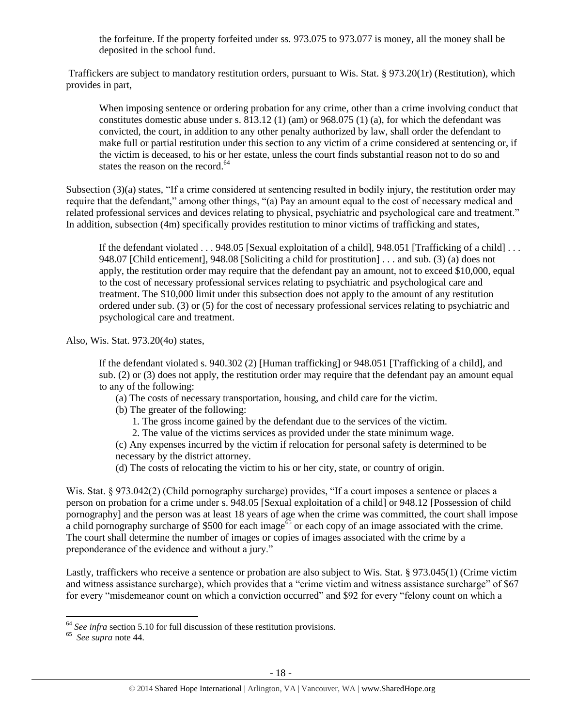the forfeiture. If the property forfeited under ss. 973.075 to 973.077 is money, all the money shall be deposited in the school fund.

Traffickers are subject to mandatory restitution orders, pursuant to Wis. Stat. § 973.20(1r) (Restitution), which provides in part,

When imposing sentence or ordering probation for any crime, other than a crime involving conduct that constitutes domestic abuse under s.  $813.12$  (1) (am) or  $968.075$  (1) (a), for which the defendant was convicted, the court, in addition to any other penalty authorized by law, shall order the defendant to make full or partial restitution under this section to any victim of a crime considered at sentencing or, if the victim is deceased, to his or her estate, unless the court finds substantial reason not to do so and states the reason on the record.<sup>64</sup>

Subsection (3)(a) states, "If a crime considered at sentencing resulted in bodily injury, the restitution order may require that the defendant," among other things, "(a) Pay an amount equal to the cost of necessary medical and related professional services and devices relating to physical, psychiatric and psychological care and treatment." In addition, subsection (4m) specifically provides restitution to minor victims of trafficking and states,

If the defendant violated . . . 948.05 [Sexual exploitation of a child], 948.051 [Trafficking of a child] . . . 948.07 [Child enticement], 948.08 [Soliciting a child for prostitution] . . . and sub. (3) (a) does not apply, the restitution order may require that the defendant pay an amount, not to exceed \$10,000, equal to the cost of necessary professional services relating to psychiatric and psychological care and treatment. The \$10,000 limit under this subsection does not apply to the amount of any restitution ordered under sub. (3) or (5) for the cost of necessary professional services relating to psychiatric and psychological care and treatment.

Also, Wis. Stat. 973.20(4o) states,

If the defendant violated s. 940.302 (2) [Human trafficking] or 948.051 [Trafficking of a child], and sub. (2) or (3) does not apply, the restitution order may require that the defendant pay an amount equal to any of the following:

- (a) The costs of necessary transportation, housing, and child care for the victim.
- (b) The greater of the following:
	- 1. The gross income gained by the defendant due to the services of the victim.
	- 2. The value of the victims services as provided under the state minimum wage.

(c) Any expenses incurred by the victim if relocation for personal safety is determined to be necessary by the district attorney.

(d) The costs of relocating the victim to his or her city, state, or country of origin.

Wis. Stat. § 973.042(2) (Child pornography surcharge) provides, "If a court imposes a sentence or places a person on probation for a crime under s. 948.05 [Sexual exploitation of a child] or 948.12 [Possession of child pornography] and the person was at least 18 years of age when the crime was committed, the court shall impose a child pornography surcharge of \$500 for each image<sup> $65$ </sup> or each copy of an image associated with the crime. The court shall determine the number of images or copies of images associated with the crime by a preponderance of the evidence and without a jury."

Lastly, traffickers who receive a sentence or probation are also subject to Wis. Stat. § 973.045(1) (Crime victim and witness assistance surcharge), which provides that a "crime victim and witness assistance surcharge" of \$67 for every "misdemeanor count on which a conviction occurred" and \$92 for every "felony count on which a

l <sup>64</sup> See infra section 5.10 for full discussion of these restitution provisions.

<sup>65</sup> *See supra* note [44.](#page-12-0)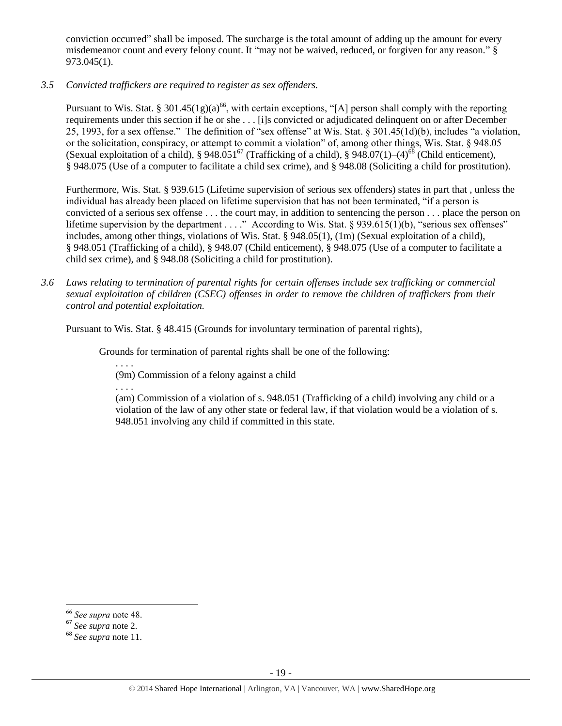conviction occurred" shall be imposed. The surcharge is the total amount of adding up the amount for every misdemeanor count and every felony count. It "may not be waived, reduced, or forgiven for any reason." § 973.045(1).

*3.5 Convicted traffickers are required to register as sex offenders.*

Pursuant to Wis. Stat. § 301.45(1g)(a)<sup>66</sup>, with certain exceptions, "[A] person shall comply with the reporting requirements under this section if he or she . . . [i]s convicted or adjudicated delinquent on or after December 25, 1993, for a sex offense." The definition of "sex offense" at Wis. Stat. § 301.45(1d)(b), includes "a violation, or the solicitation, conspiracy, or attempt to commit a violation" of, among other things, Wis. Stat. § 948.05 (Sexual exploitation of a child), § 948.051<sup>67</sup> (Trafficking of a child), § 948.07(1)–(4)<sup>68</sup> (Child enticement), § 948.075 (Use of a computer to facilitate a child sex crime), and § 948.08 (Soliciting a child for prostitution).

Furthermore, Wis. Stat. § 939.615 (Lifetime supervision of serious sex offenders) states in part that , unless the individual has already been placed on lifetime supervision that has not been terminated, "if a person is convicted of a serious sex offense . . . the court may, in addition to sentencing the person . . . place the person on lifetime supervision by the department . . . ." According to Wis. Stat. § 939.615(1)(b), "serious sex offenses" includes, among other things, violations of Wis. Stat. § 948.05(1), (1m) (Sexual exploitation of a child), § 948.051 (Trafficking of a child), § 948.07 (Child enticement), § 948.075 (Use of a computer to facilitate a child sex crime), and § 948.08 (Soliciting a child for prostitution).

*3.6 Laws relating to termination of parental rights for certain offenses include sex trafficking or commercial sexual exploitation of children (CSEC) offenses in order to remove the children of traffickers from their control and potential exploitation.* 

Pursuant to Wis. Stat. § 48.415 (Grounds for involuntary termination of parental rights),

Grounds for termination of parental rights shall be one of the following:

. . . . (9m) Commission of a felony against a child

. . . .

(am) Commission of a violation of s. 948.051 (Trafficking of a child) involving any child or a violation of the law of any other state or federal law, if that violation would be a violation of s. 948.051 involving any child if committed in this state.

 $\overline{a}$ 

<sup>66</sup> *See supra* note [48.](#page-12-1)

<sup>67</sup> *See supra* note [2.](#page-0-0)

<sup>68</sup> *See supra* note [11.](#page-2-0)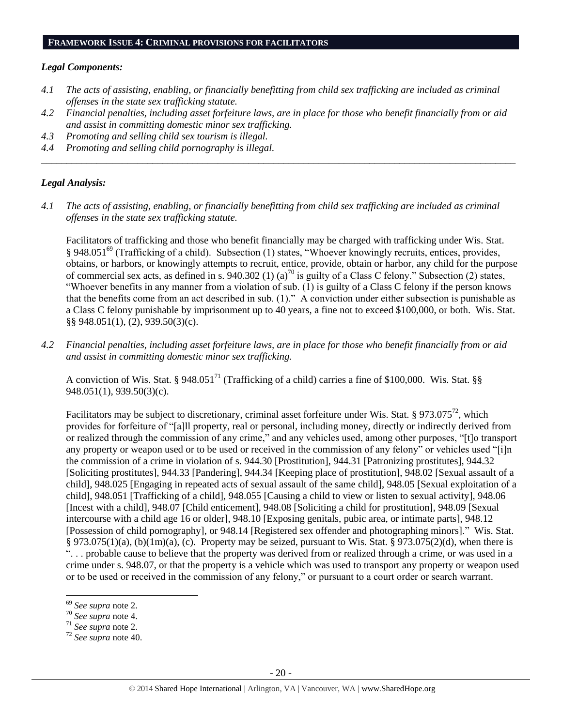#### **FRAMEWORK ISSUE 4: CRIMINAL PROVISIONS FOR FACILITATORS**

#### *Legal Components:*

- *4.1 The acts of assisting, enabling, or financially benefitting from child sex trafficking are included as criminal offenses in the state sex trafficking statute.*
- *4.2 Financial penalties, including asset forfeiture laws, are in place for those who benefit financially from or aid and assist in committing domestic minor sex trafficking.*

*\_\_\_\_\_\_\_\_\_\_\_\_\_\_\_\_\_\_\_\_\_\_\_\_\_\_\_\_\_\_\_\_\_\_\_\_\_\_\_\_\_\_\_\_\_\_\_\_\_\_\_\_\_\_\_\_\_\_\_\_\_\_\_\_\_\_\_\_\_\_\_\_\_\_\_\_\_\_\_\_\_\_\_\_\_\_\_\_\_\_\_\_\_\_*

- *4.3 Promoting and selling child sex tourism is illegal.*
- *4.4 Promoting and selling child pornography is illegal.*

## *Legal Analysis:*

*4.1 The acts of assisting, enabling, or financially benefitting from child sex trafficking are included as criminal offenses in the state sex trafficking statute.*

Facilitators of trafficking and those who benefit financially may be charged with trafficking under Wis. Stat. § 948.051<sup>69</sup> (Trafficking of a child). Subsection (1) states, "Whoever knowingly recruits, entices, provides, obtains, or harbors, or knowingly attempts to recruit, entice, provide, obtain or harbor, any child for the purpose of commercial sex acts, as defined in s. 940.302 (1) (a)<sup>70</sup> is guilty of a Class C felony." Subsection (2) states, "Whoever benefits in any manner from a violation of sub. (1) is guilty of a Class C felony if the person knows that the benefits come from an act described in sub. (1)." A conviction under either subsection is punishable as a Class C felony punishable by imprisonment up to 40 years, a fine not to exceed \$100,000, or both. Wis. Stat. §§ 948.051(1), (2), 939.50(3)(c).

*4.2 Financial penalties, including asset forfeiture laws, are in place for those who benefit financially from or aid and assist in committing domestic minor sex trafficking.*

A conviction of Wis. Stat. § 948.051<sup>71</sup> (Trafficking of a child) carries a fine of \$100,000. Wis. Stat. §§ 948.051(1), 939.50(3)(c).

Facilitators may be subject to discretionary, criminal asset forfeiture under Wis. Stat. § 973.075<sup>72</sup>, which provides for forfeiture of "[a]ll property, real or personal, including money, directly or indirectly derived from or realized through the commission of any crime," and any vehicles used, among other purposes, "[t]o transport any property or weapon used or to be used or received in the commission of any felony" or vehicles used "[i]n the commission of a crime in violation of s. 944.30 [Prostitution], 944.31 [Patronizing prostitutes], 944.32 [Soliciting prostitutes], 944.33 [Pandering], 944.34 [Keeping place of prostitution], 948.02 [Sexual assault of a child], 948.025 [Engaging in repeated acts of sexual assault of the same child], 948.05 [Sexual exploitation of a child], 948.051 [Trafficking of a child], 948.055 [Causing a child to view or listen to sexual activity], 948.06 [Incest with a child], 948.07 [Child enticement], 948.08 [Soliciting a child for prostitution], 948.09 [Sexual intercourse with a child age 16 or older], 948.10 [Exposing genitals, pubic area, or intimate parts], 948.12 [Possession of child pornography], or 948.14 [Registered sex offender and photographing minors]." Wis. Stat. § 973.075(1)(a), (b)(1m)(a), (c). Property may be seized, pursuant to Wis. Stat. § 973.075(2)(d), when there is ". . . probable cause to believe that the property was derived from or realized through a crime, or was used in a crime under s. 948.07, or that the property is a vehicle which was used to transport any property or weapon used or to be used or received in the commission of any felony," or pursuant to a court order or search warrant.

 $\overline{a}$ 

<sup>69</sup> *See supra* note [2.](#page-0-0)

<sup>70</sup> *See supra* note [4.](#page-0-1)

<sup>71</sup> *See supra* note [2.](#page-0-0)

<sup>72</sup> *See supra* note [40.](#page-9-0)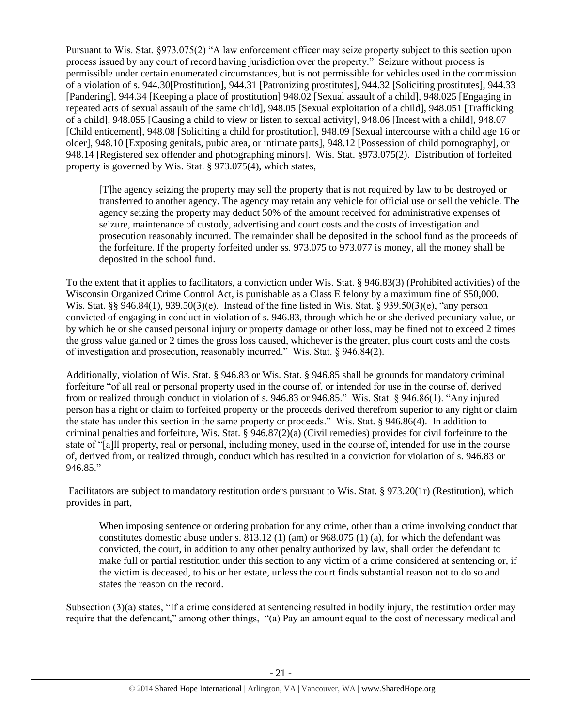Pursuant to Wis. Stat. §973.075(2) "A law enforcement officer may seize property subject to this section upon process issued by any court of record having jurisdiction over the property." Seizure without process is permissible under certain enumerated circumstances, but is not permissible for vehicles used in the commission of a violation of s. 944.30[Prostitution], 944.31 [Patronizing prostitutes], 944.32 [Soliciting prostitutes], 944.33 [Pandering], 944.34 [Keeping a place of prostitution] 948.02 [Sexual assault of a child], 948.025 [Engaging in repeated acts of sexual assault of the same child], 948.05 [Sexual exploitation of a child], 948.051 [Trafficking of a child], 948.055 [Causing a child to view or listen to sexual activity], 948.06 [Incest with a child], 948.07 [Child enticement], 948.08 [Soliciting a child for prostitution], 948.09 [Sexual intercourse with a child age 16 or older], 948.10 [Exposing genitals, pubic area, or intimate parts], 948.12 [Possession of child pornography], or 948.14 [Registered sex offender and photographing minors]. Wis. Stat. §973.075(2). Distribution of forfeited property is governed by Wis. Stat. § 973.075(4), which states,

[T]he agency seizing the property may sell the property that is not required by law to be destroyed or transferred to another agency. The agency may retain any vehicle for official use or sell the vehicle. The agency seizing the property may deduct 50% of the amount received for administrative expenses of seizure, maintenance of custody, advertising and court costs and the costs of investigation and prosecution reasonably incurred. The remainder shall be deposited in the school fund as the proceeds of the forfeiture. If the property forfeited under ss. 973.075 to 973.077 is money, all the money shall be deposited in the school fund.

To the extent that it applies to facilitators, a conviction under Wis. Stat. § 946.83(3) (Prohibited activities) of the Wisconsin Organized Crime Control Act, is punishable as a Class E felony by a maximum fine of \$50,000. Wis. Stat. §§ 946.84(1), 939.50(3)(e). Instead of the fine listed in Wis. Stat. § 939.50(3)(e), "any person convicted of engaging in conduct in violation of s. 946.83, through which he or she derived pecuniary value, or by which he or she caused personal injury or property damage or other loss, may be fined not to exceed 2 times the gross value gained or 2 times the gross loss caused, whichever is the greater, plus court costs and the costs of investigation and prosecution, reasonably incurred." Wis. Stat. § 946.84(2).

Additionally, violation of Wis. Stat. § 946.83 or Wis. Stat. § 946.85 shall be grounds for mandatory criminal forfeiture "of all real or personal property used in the course of, or intended for use in the course of, derived from or realized through conduct in violation of s. 946.83 or 946.85." Wis. Stat. § 946.86(1). "Any injured person has a right or claim to forfeited property or the proceeds derived therefrom superior to any right or claim the state has under this section in the same property or proceeds." Wis. Stat. § 946.86(4). In addition to criminal penalties and forfeiture, Wis. Stat. § 946.87(2)(a) (Civil remedies) provides for civil forfeiture to the state of "[a]ll property, real or personal, including money, used in the course of, intended for use in the course of, derived from, or realized through, conduct which has resulted in a conviction for violation of s. 946.83 or 946.85."

Facilitators are subject to mandatory restitution orders pursuant to Wis. Stat. § 973.20(1r) (Restitution), which provides in part,

When imposing sentence or ordering probation for any crime, other than a crime involving conduct that constitutes domestic abuse under s.  $813.12$  (1) (am) or  $968.075$  (1) (a), for which the defendant was convicted, the court, in addition to any other penalty authorized by law, shall order the defendant to make full or partial restitution under this section to any victim of a crime considered at sentencing or, if the victim is deceased, to his or her estate, unless the court finds substantial reason not to do so and states the reason on the record.

Subsection (3)(a) states, "If a crime considered at sentencing resulted in bodily injury, the restitution order may require that the defendant," among other things, "(a) Pay an amount equal to the cost of necessary medical and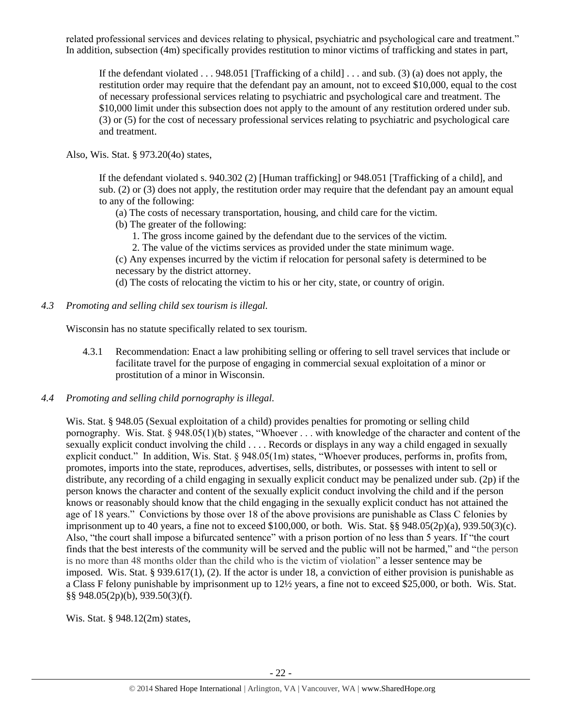related professional services and devices relating to physical, psychiatric and psychological care and treatment." In addition, subsection (4m) specifically provides restitution to minor victims of trafficking and states in part,

If the defendant violated . . . 948.051 [Trafficking of a child] . . . and sub. (3) (a) does not apply, the restitution order may require that the defendant pay an amount, not to exceed \$10,000, equal to the cost of necessary professional services relating to psychiatric and psychological care and treatment. The \$10,000 limit under this subsection does not apply to the amount of any restitution ordered under sub. (3) or (5) for the cost of necessary professional services relating to psychiatric and psychological care and treatment.

Also, Wis. Stat. § 973.20(4o) states,

If the defendant violated s. 940.302 (2) [Human trafficking] or 948.051 [Trafficking of a child], and sub. (2) or (3) does not apply, the restitution order may require that the defendant pay an amount equal to any of the following:

- (a) The costs of necessary transportation, housing, and child care for the victim.
- (b) The greater of the following:
	- 1. The gross income gained by the defendant due to the services of the victim.
	- 2. The value of the victims services as provided under the state minimum wage.
- (c) Any expenses incurred by the victim if relocation for personal safety is determined to be necessary by the district attorney.

(d) The costs of relocating the victim to his or her city, state, or country of origin.

*4.3 Promoting and selling child sex tourism is illegal.*

Wisconsin has no statute specifically related to sex tourism.

- 4.3.1 Recommendation: Enact a law prohibiting selling or offering to sell travel services that include or facilitate travel for the purpose of engaging in commercial sexual exploitation of a minor or prostitution of a minor in Wisconsin.
- *4.4 Promoting and selling child pornography is illegal.*

Wis. Stat. § 948.05 (Sexual exploitation of a child) provides penalties for promoting or selling child pornography. Wis. Stat. § 948.05(1)(b) states, "Whoever . . . with knowledge of the character and content of the sexually explicit conduct involving the child . . . . Records or displays in any way a child engaged in sexually explicit conduct." In addition, Wis. Stat. § 948.05(1m) states, "Whoever produces, performs in, profits from, promotes, imports into the state, reproduces, advertises, sells, distributes, or possesses with intent to sell or distribute, any recording of a child engaging in sexually explicit conduct may be penalized under sub. (2p) if the person knows the character and content of the sexually explicit conduct involving the child and if the person knows or reasonably should know that the child engaging in the sexually explicit conduct has not attained the age of 18 years." Convictions by those over 18 of the above provisions are punishable as Class C felonies by imprisonment up to 40 years, a fine not to exceed  $$100,000$ , or both. Wis. Stat. §§  $948.05(2p)(a)$ ,  $939.50(3)(c)$ . Also, "the court shall impose a bifurcated sentence" with a prison portion of no less than 5 years. If "the court finds that the best interests of the community will be served and the public will not be harmed," and "the person is no more than 48 months older than the child who is the victim of violation" a lesser sentence may be imposed. Wis. Stat. § 939.617(1), (2). If the actor is under 18, a conviction of either provision is punishable as a Class F felony punishable by imprisonment up to 12½ years, a fine not to exceed \$25,000, or both. Wis. Stat. §§ 948.05(2p)(b), 939.50(3)(f).

Wis. Stat. § 948.12(2m) states,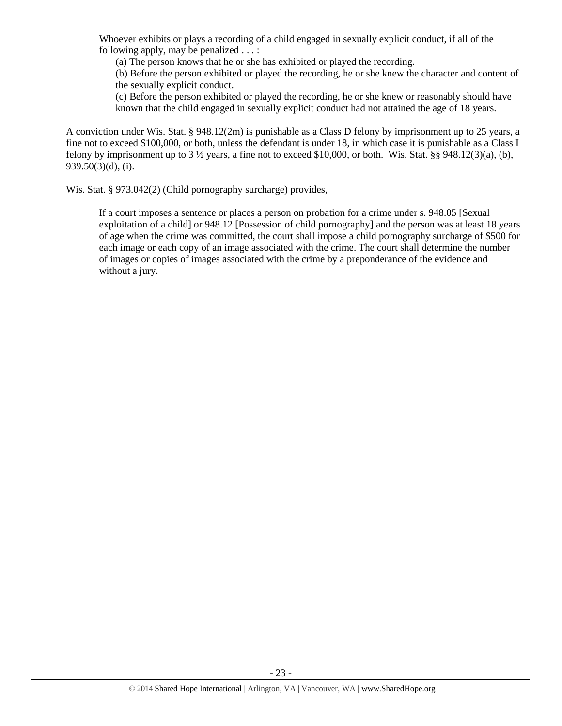Whoever exhibits or plays a recording of a child engaged in sexually explicit conduct, if all of the following apply, may be penalized . . . :

(a) The person knows that he or she has exhibited or played the recording.

(b) Before the person exhibited or played the recording, he or she knew the character and content of the sexually explicit conduct.

(c) Before the person exhibited or played the recording, he or she knew or reasonably should have known that the child engaged in sexually explicit conduct had not attained the age of 18 years.

A conviction under Wis. Stat. § 948.12(2m) is punishable as a Class D felony by imprisonment up to 25 years, a fine not to exceed \$100,000, or both, unless the defendant is under 18, in which case it is punishable as a Class I felony by imprisonment up to  $3\frac{1}{2}$  years, a fine not to exceed \$10,000, or both. Wis. Stat. §§ 948.12(3)(a), (b),  $939.50(3)(d)$ , (i).

Wis. Stat. § 973.042(2) (Child pornography surcharge) provides,

If a court imposes a sentence or places a person on probation for a crime under s. 948.05 [Sexual exploitation of a child] or 948.12 [Possession of child pornography] and the person was at least 18 years of age when the crime was committed, the court shall impose a child pornography surcharge of \$500 for each image or each copy of an image associated with the crime. The court shall determine the number of images or copies of images associated with the crime by a preponderance of the evidence and without a jury.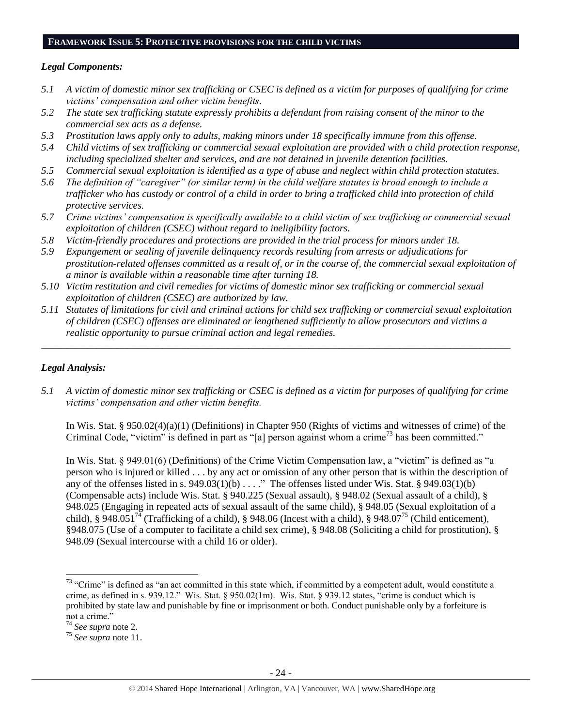#### **FRAMEWORK ISSUE 5: PROTECTIVE PROVISIONS FOR THE CHILD VICTIMS**

## *Legal Components:*

- *5.1 A victim of domestic minor sex trafficking or CSEC is defined as a victim for purposes of qualifying for crime victims' compensation and other victim benefits.*
- *5.2 The state sex trafficking statute expressly prohibits a defendant from raising consent of the minor to the commercial sex acts as a defense.*
- *5.3 Prostitution laws apply only to adults, making minors under 18 specifically immune from this offense.*
- *5.4 Child victims of sex trafficking or commercial sexual exploitation are provided with a child protection response, including specialized shelter and services, and are not detained in juvenile detention facilities.*
- *5.5 Commercial sexual exploitation is identified as a type of abuse and neglect within child protection statutes.*
- *5.6 The definition of "caregiver" (or similar term) in the child welfare statutes is broad enough to include a trafficker who has custody or control of a child in order to bring a trafficked child into protection of child protective services.*
- *5.7 Crime victims' compensation is specifically available to a child victim of sex trafficking or commercial sexual exploitation of children (CSEC) without regard to ineligibility factors.*
- *5.8 Victim-friendly procedures and protections are provided in the trial process for minors under 18.*
- *5.9 Expungement or sealing of juvenile delinquency records resulting from arrests or adjudications for prostitution-related offenses committed as a result of, or in the course of, the commercial sexual exploitation of a minor is available within a reasonable time after turning 18.*
- *5.10 Victim restitution and civil remedies for victims of domestic minor sex trafficking or commercial sexual exploitation of children (CSEC) are authorized by law.*
- *5.11 Statutes of limitations for civil and criminal actions for child sex trafficking or commercial sexual exploitation of children (CSEC) offenses are eliminated or lengthened sufficiently to allow prosecutors and victims a realistic opportunity to pursue criminal action and legal remedies.*

*\_\_\_\_\_\_\_\_\_\_\_\_\_\_\_\_\_\_\_\_\_\_\_\_\_\_\_\_\_\_\_\_\_\_\_\_\_\_\_\_\_\_\_\_\_\_\_\_\_\_\_\_\_\_\_\_\_\_\_\_\_\_\_\_\_\_\_\_\_\_\_\_\_\_\_\_\_\_\_\_\_\_\_\_\_\_\_\_\_\_\_\_\_*

## *Legal Analysis:*

*5.1 A victim of domestic minor sex trafficking or CSEC is defined as a victim for purposes of qualifying for crime victims' compensation and other victim benefits.*

In Wis. Stat. § 950.02(4)(a)(1) (Definitions) in Chapter 950 (Rights of victims and witnesses of crime) of the Criminal Code, "victim" is defined in part as "[a] person against whom a crime<sup>73</sup> has been committed."

In Wis. Stat. § 949.01(6) (Definitions) of the Crime Victim Compensation law, a "victim" is defined as "a person who is injured or killed . . . by any act or omission of any other person that is within the description of any of the offenses listed in s.  $949.03(1)(b)$ ...." The offenses listed under Wis. Stat. §  $949.03(1)(b)$ (Compensable acts) include Wis. Stat. § 940.225 (Sexual assault), § 948.02 (Sexual assault of a child), § 948.025 (Engaging in repeated acts of sexual assault of the same child), § 948.05 (Sexual exploitation of a child), § 948.051<sup>74</sup> (Trafficking of a child), § 948.06 (Incest with a child), § 948.07<sup>75</sup> (Child enticement), §948.075 (Use of a computer to facilitate a child sex crime), § 948.08 (Soliciting a child for prostitution), § 948.09 (Sexual intercourse with a child 16 or older).

<sup>&</sup>lt;sup>73</sup> "Crime" is defined as "an act committed in this state which, if committed by a competent adult, would constitute a crime, as defined in s. 939.12." Wis. Stat. § 950.02(1m). Wis. Stat. § 939.12 states, "crime is conduct which is prohibited by state law and punishable by fine or imprisonment or both. Conduct punishable only by a forfeiture is not a crime."

<sup>74</sup> *See supra* note [2.](#page-0-0)

<sup>75</sup> *See supra* note [11.](#page-2-0)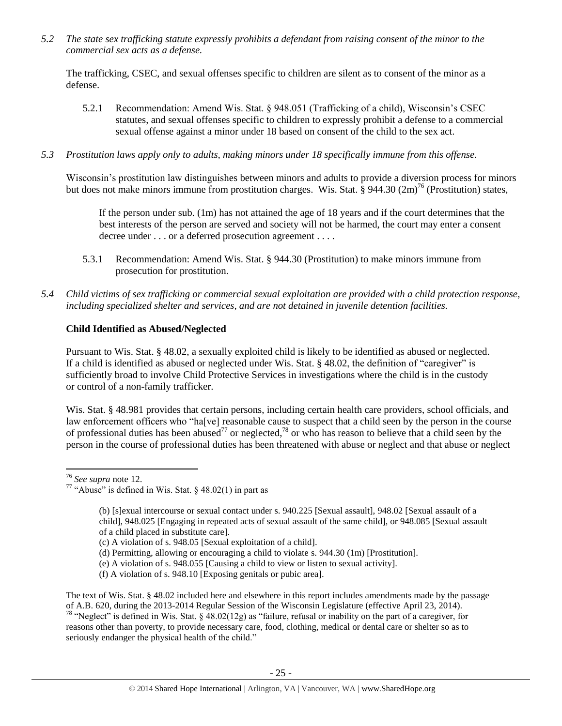*5.2 The state sex trafficking statute expressly prohibits a defendant from raising consent of the minor to the commercial sex acts as a defense.*

The trafficking, CSEC, and sexual offenses specific to children are silent as to consent of the minor as a defense.

- 5.2.1 Recommendation: Amend Wis. Stat. § 948.051 (Trafficking of a child), Wisconsin's CSEC statutes, and sexual offenses specific to children to expressly prohibit a defense to a commercial sexual offense against a minor under 18 based on consent of the child to the sex act.
- *5.3 Prostitution laws apply only to adults, making minors under 18 specifically immune from this offense.*

Wisconsin's prostitution law distinguishes between minors and adults to provide a diversion process for minors but does not make minors immune from prostitution charges. Wis. Stat. § 944.30  $(2m)^{76}$  (Prostitution) states,

If the person under sub. (1m) has not attained the age of 18 years and if the court determines that the best interests of the person are served and society will not be harmed, the court may enter a consent decree under . . . or a deferred prosecution agreement . . . .

- 5.3.1 Recommendation: Amend Wis. Stat. § 944.30 (Prostitution) to make minors immune from prosecution for prostitution.
- *5.4 Child victims of sex trafficking or commercial sexual exploitation are provided with a child protection response, including specialized shelter and services, and are not detained in juvenile detention facilities.*

# **Child Identified as Abused/Neglected**

Pursuant to Wis. Stat. § 48.02, a sexually exploited child is likely to be identified as abused or neglected. If a child is identified as abused or neglected under Wis. Stat. § 48.02, the definition of "caregiver" is sufficiently broad to involve Child Protective Services in investigations where the child is in the custody or control of a non-family trafficker.

Wis. Stat. § 48.981 provides that certain persons, including certain health care providers, school officials, and law enforcement officers who "ha[ve] reasonable cause to suspect that a child seen by the person in the course of professional duties has been abused<sup>77</sup> or neglected,<sup>78</sup> or who has reason to believe that a child seen by the person in the course of professional duties has been threatened with abuse or neglect and that abuse or neglect

 $\overline{a}$ 

<sup>76</sup> *See supra* note [12.](#page-3-0)

<sup>&</sup>lt;sup>77</sup> "Abuse" is defined in Wis. Stat.  $\S$  48.02(1) in part as

<sup>(</sup>b) [s]exual intercourse or sexual contact under s. 940.225 [Sexual assault], 948.02 [Sexual assault of a child], 948.025 [Engaging in repeated acts of sexual assault of the same child], or 948.085 [Sexual assault of a child placed in substitute care].

<sup>(</sup>c) A violation of s. 948.05 [Sexual exploitation of a child].

<sup>(</sup>d) Permitting, allowing or encouraging a child to violate s. 944.30 (1m) [Prostitution].

<sup>(</sup>e) A violation of s. 948.055 [Causing a child to view or listen to sexual activity].

<sup>(</sup>f) A violation of s. 948.10 [Exposing genitals or pubic area].

The text of Wis. Stat. § 48.02 included here and elsewhere in this report includes amendments made by the passage of A.B. 620, during the 2013-2014 Regular Session of the Wisconsin Legislature (effective April 23, 2014). <sup>78</sup> "Neglect" is defined in Wis. Stat. §  $\frac{48.02(12g)}{9}$  as "failure, refusal or inability on the part of a caregiver, for reasons other than poverty, to provide necessary care, food, clothing, medical or dental care or shelter so as to seriously endanger the physical health of the child."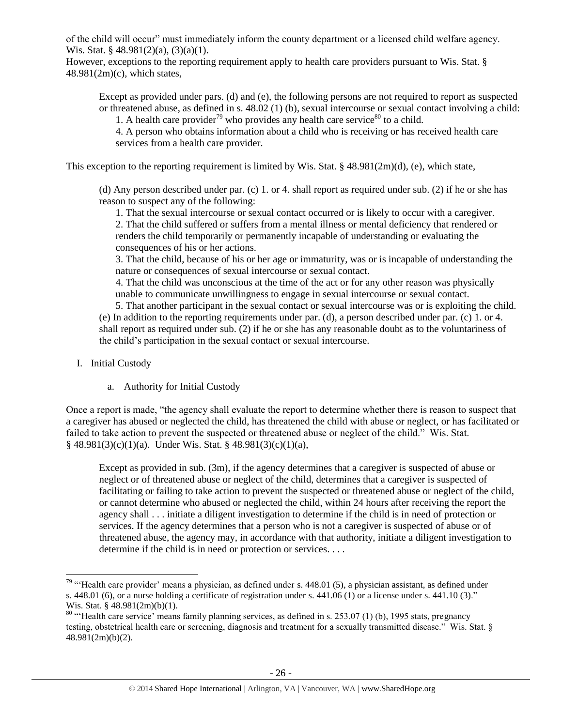of the child will occur" must immediately inform the county department or a licensed child welfare agency. Wis. Stat. § 48.981(2)(a), (3)(a)(1).

However, exceptions to the reporting requirement apply to health care providers pursuant to Wis. Stat. §  $48.981(2m)(c)$ , which states,

Except as provided under pars. (d) and (e), the following persons are not required to report as suspected or threatened abuse, as defined in s. 48.02 (1) (b), sexual intercourse or sexual contact involving a child:

1. A health care provider<sup>79</sup> who provides any health care service<sup>80</sup> to a child.

4. A person who obtains information about a child who is receiving or has received health care services from a health care provider.

This exception to the reporting requirement is limited by Wis. Stat. § 48.981(2m)(d), (e), which state,

(d) Any person described under par. (c) 1. or 4. shall report as required under sub. (2) if he or she has reason to suspect any of the following:

1. That the sexual intercourse or sexual contact occurred or is likely to occur with a caregiver. 2. That the child suffered or suffers from a mental illness or mental deficiency that rendered or renders the child temporarily or permanently incapable of understanding or evaluating the consequences of his or her actions.

3. That the child, because of his or her age or immaturity, was or is incapable of understanding the nature or consequences of sexual intercourse or sexual contact.

4. That the child was unconscious at the time of the act or for any other reason was physically unable to communicate unwillingness to engage in sexual intercourse or sexual contact.

5. That another participant in the sexual contact or sexual intercourse was or is exploiting the child. (e) In addition to the reporting requirements under par. (d), a person described under par. (c) 1. or 4. shall report as required under sub. (2) if he or she has any reasonable doubt as to the voluntariness of the child's participation in the sexual contact or sexual intercourse.

I. Initial Custody

 $\overline{\phantom{a}}$ 

a. Authority for Initial Custody

Once a report is made, "the agency shall evaluate the report to determine whether there is reason to suspect that a caregiver has abused or neglected the child, has threatened the child with abuse or neglect, or has facilitated or failed to take action to prevent the suspected or threatened abuse or neglect of the child." Wis. Stat. § 48.981(3)(c)(1)(a). Under Wis. Stat. § 48.981(3)(c)(1)(a),

Except as provided in sub. (3m), if the agency determines that a caregiver is suspected of abuse or neglect or of threatened abuse or neglect of the child, determines that a caregiver is suspected of facilitating or failing to take action to prevent the suspected or threatened abuse or neglect of the child, or cannot determine who abused or neglected the child, within 24 hours after receiving the report the agency shall . . . initiate a diligent investigation to determine if the child is in need of protection or services. If the agency determines that a person who is not a caregiver is suspected of abuse or of threatened abuse, the agency may, in accordance with that authority, initiate a diligent investigation to determine if the child is in need or protection or services. . . .

<sup>&</sup>lt;sup>79</sup> "Health care provider' means a physician, as defined under s.  $448.01$  (5), a physician assistant, as defined under s.  $448.01$  (6), or a nurse holding a certificate of registration under s.  $441.06$  (1) or a license under s.  $441.10$  (3)." Wis. Stat. § 48.981(2m)(b)(1).

 $80$  "Health care service' means family planning services, as defined in s. 253.07 (1) (b), 1995 stats, pregnancy testing, obstetrical health care or screening, diagnosis and treatment for a sexually transmitted disease." Wis. Stat. § 48.981(2m)(b)(2).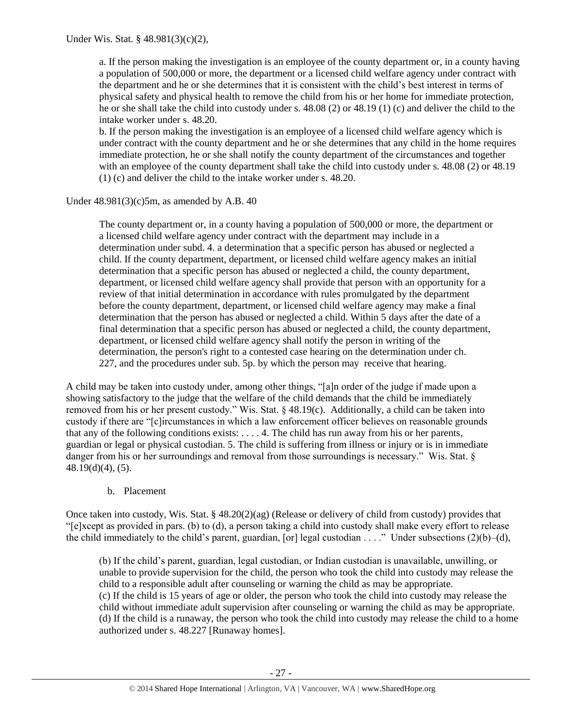a. If the person making the investigation is an employee of the county department or, in a county having a population of 500,000 or more, the department or a licensed child welfare agency under contract with the department and he or she determines that it is consistent with the child's best interest in terms of physical safety and physical health to remove the child from his or her home for immediate protection, he or she shall take the child into custody under s. 48.08 (2) or 48.19 (1) (c) and deliver the child to the intake worker under s. 48.20.

b. If the person making the investigation is an employee of a licensed child welfare agency which is under contract with the county department and he or she determines that any child in the home requires immediate protection, he or she shall notify the county department of the circumstances and together with an employee of the county department shall take the child into custody under s. 48.08 (2) or 48.19 (1) (c) and deliver the child to the intake worker under s. 48.20.

Under  $48.981(3)(c)5m$ , as amended by A.B.  $40$ 

The county department or, in a county having a population of 500,000 or more, the department or a licensed child welfare agency under contract with the department may include in a determination under subd. 4. a determination that a specific person has abused or neglected a child. If the county department, department, or licensed child welfare agency makes an initial determination that a specific person has abused or neglected a child, the county department, department, or licensed child welfare agency shall provide that person with an opportunity for a review of that initial determination in accordance with rules promulgated by the department before the county department, department, or licensed child welfare agency may make a final determination that the person has abused or neglected a child. Within 5 days after the date of a final determination that a specific person has abused or neglected a child, the county department, department, or licensed child welfare agency shall notify the person in writing of the determination, the person's right to a contested case hearing on the determination under ch. 227, and the procedures under sub. 5p. by which the person may receive that hearing.

A child may be taken into custody under, among other things, "[a]n order of the judge if made upon a showing satisfactory to the judge that the welfare of the child demands that the child be immediately removed from his or her present custody." Wis. Stat. § 48.19(c). Additionally, a child can be taken into custody if there are "[c]ircumstances in which a law enforcement officer believes on reasonable grounds that any of the following conditions exists: . . . . 4. The child has run away from his or her parents, guardian or legal or physical custodian. 5. The child is suffering from illness or injury or is in immediate danger from his or her surroundings and removal from those surroundings is necessary." Wis. Stat. § 48.19(d)(4), (5).

## b. Placement

Once taken into custody, Wis. Stat. § 48.20(2)(ag) (Release or delivery of child from custody) provides that "[e]xcept as provided in pars. (b) to (d), a person taking a child into custody shall make every effort to release the child immediately to the child's parent, guardian, [or] legal custodian . . . ." Under subsections (2)(b)–(d),

(b) If the child's parent, guardian, legal custodian, or Indian custodian is unavailable, unwilling, or unable to provide supervision for the child, the person who took the child into custody may release the child to a responsible adult after counseling or warning the child as may be appropriate. (c) If the child is 15 years of age or older, the person who took the child into custody may release the child without immediate adult supervision after counseling or warning the child as may be appropriate. (d) If the child is a runaway, the person who took the child into custody may release the child to a home authorized under s. 48.227 [Runaway homes].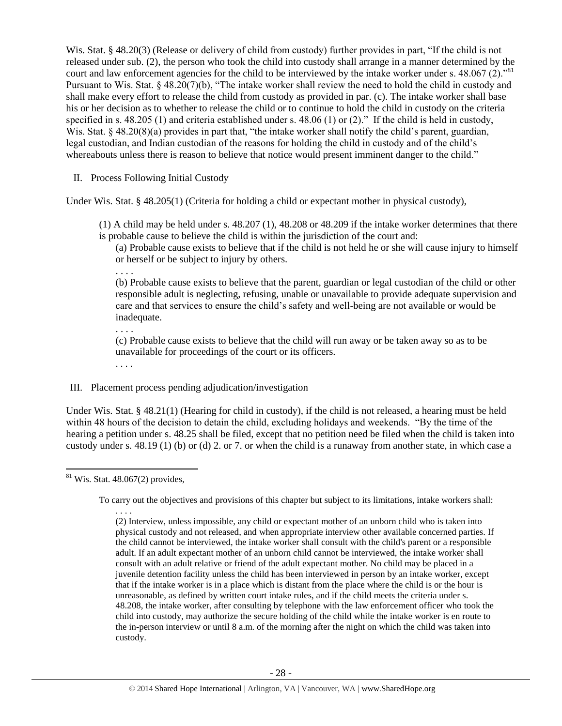Wis. Stat. § 48.20(3) (Release or delivery of child from custody) further provides in part, "If the child is not released under sub. (2), the person who took the child into custody shall arrange in a manner determined by the court and law enforcement agencies for the child to be interviewed by the intake worker under s.  $48.067(2)$ .<sup>81</sup> Pursuant to Wis. Stat. § 48.20(7)(b), "The intake worker shall review the need to hold the child in custody and shall make every effort to release the child from custody as provided in par. (c). The intake worker shall base his or her decision as to whether to release the child or to continue to hold the child in custody on the criteria specified in s. 48.205 (1) and criteria established under s. 48.06 (1) or (2)." If the child is held in custody, Wis. Stat. § 48.20(8)(a) provides in part that, "the intake worker shall notify the child's parent, guardian, legal custodian, and Indian custodian of the reasons for holding the child in custody and of the child's whereabouts unless there is reason to believe that notice would present imminent danger to the child."

II. Process Following Initial Custody

Under Wis. Stat. § 48.205(1) (Criteria for holding a child or expectant mother in physical custody),

(1) A child may be held under s. 48.207 (1), 48.208 or 48.209 if the intake worker determines that there is probable cause to believe the child is within the jurisdiction of the court and:

(a) Probable cause exists to believe that if the child is not held he or she will cause injury to himself or herself or be subject to injury by others.

. . . .

(b) Probable cause exists to believe that the parent, guardian or legal custodian of the child or other responsible adult is neglecting, refusing, unable or unavailable to provide adequate supervision and care and that services to ensure the child's safety and well-being are not available or would be inadequate.

(c) Probable cause exists to believe that the child will run away or be taken away so as to be unavailable for proceedings of the court or its officers.

. . . .

. . . .

## III. Placement process pending adjudication/investigation

Under Wis. Stat. § 48.21(1) (Hearing for child in custody), if the child is not released, a hearing must be held within 48 hours of the decision to detain the child, excluding holidays and weekends. "By the time of the hearing a petition under s. 48.25 shall be filed, except that no petition need be filed when the child is taken into custody under s. 48.19 (1) (b) or (d) 2. or 7. or when the child is a runaway from another state, in which case a

 $\overline{a}$  $81$  Wis. Stat. 48.067(2) provides,

To carry out the objectives and provisions of this chapter but subject to its limitations, intake workers shall:

<sup>. . . .</sup> (2) Interview, unless impossible, any child or expectant mother of an unborn child who is taken into physical custody and not released, and when appropriate interview other available concerned parties. If the child cannot be interviewed, the intake worker shall consult with the child's parent or a responsible adult. If an adult expectant mother of an unborn child cannot be interviewed, the intake worker shall consult with an adult relative or friend of the adult expectant mother. No child may be placed in a juvenile detention facility unless the child has been interviewed in person by an intake worker, except that if the intake worker is in a place which is distant from the place where the child is or the hour is unreasonable, as defined by written court intake rules, and if the child meets the criteria under s. 48.208, the intake worker, after consulting by telephone with the law enforcement officer who took the child into custody, may authorize the secure holding of the child while the intake worker is en route to the in-person interview or until 8 a.m. of the morning after the night on which the child was taken into custody.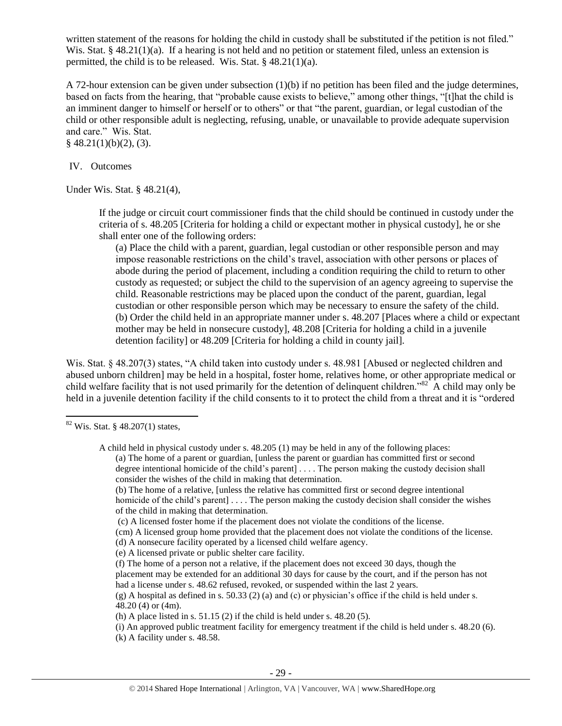written statement of the reasons for holding the child in custody shall be substituted if the petition is not filed." Wis. Stat. § 48.21(1)(a). If a hearing is not held and no petition or statement filed, unless an extension is permitted, the child is to be released. Wis. Stat. § 48.21(1)(a).

A 72-hour extension can be given under subsection (1)(b) if no petition has been filed and the judge determines, based on facts from the hearing, that "probable cause exists to believe," among other things, "[t]hat the child is an imminent danger to himself or herself or to others" or that "the parent, guardian, or legal custodian of the child or other responsible adult is neglecting, refusing, unable, or unavailable to provide adequate supervision and care." Wis. Stat.  $§$  48.21(1)(b)(2), (3).

IV. Outcomes

Under Wis. Stat. § 48.21(4),

If the judge or circuit court commissioner finds that the child should be continued in custody under the criteria of s. 48.205 [Criteria for holding a child or expectant mother in physical custody], he or she shall enter one of the following orders:

(a) Place the child with a parent, guardian, legal custodian or other responsible person and may impose reasonable restrictions on the child's travel, association with other persons or places of abode during the period of placement, including a condition requiring the child to return to other custody as requested; or subject the child to the supervision of an agency agreeing to supervise the child. Reasonable restrictions may be placed upon the conduct of the parent, guardian, legal custodian or other responsible person which may be necessary to ensure the safety of the child. (b) Order the child held in an appropriate manner under s. 48.207 [Places where a child or expectant mother may be held in nonsecure custody], 48.208 [Criteria for holding a child in a juvenile detention facility] or 48.209 [Criteria for holding a child in county jail].

Wis. Stat. § 48.207(3) states, "A child taken into custody under s. 48.981 [Abused or neglected children and abused unborn children] may be held in a hospital, foster home, relatives home, or other appropriate medical or child welfare facility that is not used primarily for the detention of delinquent children."<sup>82</sup> A child may only be held in a juvenile detention facility if the child consents to it to protect the child from a threat and it is "ordered

 $\overline{\phantom{a}}$ 

(b) The home of a relative, [unless the relative has committed first or second degree intentional homicide of the child's parent].... The person making the custody decision shall consider the wishes of the child in making that determination.

(c) A licensed foster home if the placement does not violate the conditions of the license.

(cm) A licensed group home provided that the placement does not violate the conditions of the license.

- (d) A nonsecure facility operated by a licensed child welfare agency.
- (e) A licensed private or public shelter care facility.
- (f) The home of a person not a relative, if the placement does not exceed 30 days, though the placement may be extended for an additional 30 days for cause by the court, and if the person has not had a license under s. 48.62 refused, revoked, or suspended within the last 2 years.

(h) A place listed in s.  $51.15$  (2) if the child is held under s.  $48.20$  (5).

(i) An approved public treatment facility for emergency treatment if the child is held under s. 48.20 (6). (k) A facility under s. 48.58.

 $82$  Wis. Stat. § 48.207(1) states,

A child held in physical custody under s. 48.205 (1) may be held in any of the following places: (a) The home of a parent or guardian, [unless the parent or guardian has committed first or second degree intentional homicide of the child's parent] . . . . The person making the custody decision shall consider the wishes of the child in making that determination.

 $(g)$  A hospital as defined in s. 50.33 (2) (a) and (c) or physician's office if the child is held under s. 48.20 (4) or (4m).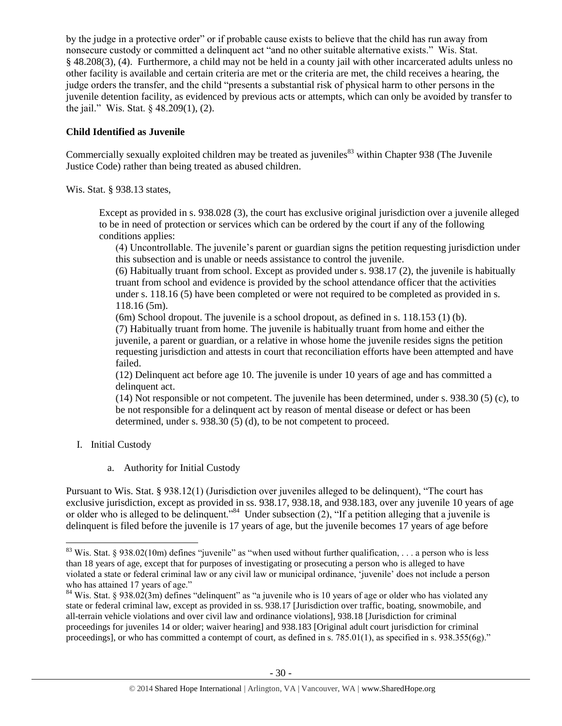by the judge in a protective order" or if probable cause exists to believe that the child has run away from nonsecure custody or committed a delinquent act "and no other suitable alternative exists." Wis. Stat. § 48.208(3), (4). Furthermore, a child may not be held in a county jail with other incarcerated adults unless no other facility is available and certain criteria are met or the criteria are met, the child receives a hearing, the judge orders the transfer, and the child "presents a substantial risk of physical harm to other persons in the juvenile detention facility, as evidenced by previous acts or attempts, which can only be avoided by transfer to the jail." Wis. Stat. § 48.209(1), (2).

# **Child Identified as Juvenile**

Commercially sexually exploited children may be treated as juveniles<sup>83</sup> within Chapter 938 (The Juvenile Justice Code) rather than being treated as abused children.

Wis. Stat. § 938.13 states,

Except as provided in s. 938.028 (3), the court has exclusive original jurisdiction over a juvenile alleged to be in need of protection or services which can be ordered by the court if any of the following conditions applies:

(4) Uncontrollable. The juvenile's parent or guardian signs the petition requesting jurisdiction under this subsection and is unable or needs assistance to control the juvenile.

(6) Habitually truant from school. Except as provided under s. 938.17 (2), the juvenile is habitually truant from school and evidence is provided by the school attendance officer that the activities under s. 118.16 (5) have been completed or were not required to be completed as provided in s. 118.16 (5m).

(6m) School dropout. The juvenile is a school dropout, as defined in s. 118.153 (1) (b). (7) Habitually truant from home. The juvenile is habitually truant from home and either the juvenile, a parent or guardian, or a relative in whose home the juvenile resides signs the petition requesting jurisdiction and attests in court that reconciliation efforts have been attempted and have failed.

(12) Delinquent act before age 10. The juvenile is under 10 years of age and has committed a delinquent act.

(14) Not responsible or not competent. The juvenile has been determined, under s. 938.30 (5) (c), to be not responsible for a delinquent act by reason of mental disease or defect or has been determined, under s. 938.30 (5) (d), to be not competent to proceed.

I. Initial Custody

 $\overline{\phantom{a}}$ 

a. Authority for Initial Custody

Pursuant to Wis. Stat. § 938.12(1) (Jurisdiction over juveniles alleged to be delinquent), "The court has exclusive jurisdiction, except as provided in ss. 938.17, 938.18, and 938.183, over any juvenile 10 years of age or older who is alleged to be delinquent."<sup>84</sup> Under subsection (2), "If a petition alleging that a juvenile is delinquent is filed before the juvenile is 17 years of age, but the juvenile becomes 17 years of age before

<sup>&</sup>lt;sup>83</sup> Wis. Stat. § 938.02(10m) defines "juvenile" as "when used without further qualification, ... a person who is less than 18 years of age, except that for purposes of investigating or prosecuting a person who is alleged to have violated a state or federal criminal law or any civil law or municipal ordinance, 'juvenile' does not include a person who has attained 17 years of age."

<sup>&</sup>lt;sup>84</sup> Wis. Stat. § 938.02(3m) defines "delinquent" as "a juvenile who is 10 years of age or older who has violated any state or federal criminal law, except as provided in ss. 938.17 [Jurisdiction over traffic, boating, snowmobile, and all-terrain vehicle violations and over civil law and ordinance violations], 938.18 [Jurisdiction for criminal proceedings for juveniles 14 or older; waiver hearing] and 938.183 [Original adult court jurisdiction for criminal proceedings], or who has committed a contempt of court, as defined in s. 785.01(1), as specified in s. 938.355(6g)."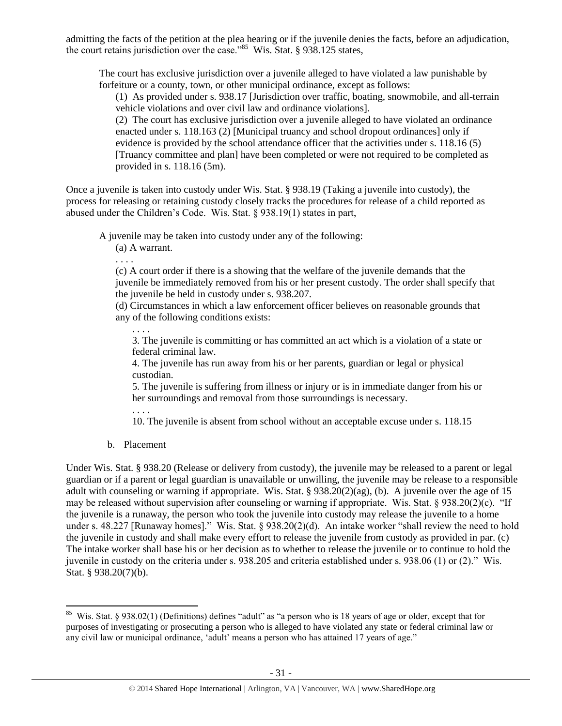admitting the facts of the petition at the plea hearing or if the juvenile denies the facts, before an adjudication, the court retains jurisdiction over the case."<sup>85</sup> Wis. Stat. § 938.125 states,

The court has exclusive jurisdiction over a juvenile alleged to have violated a law punishable by forfeiture or a county, town, or other municipal ordinance, except as follows:

(1) As provided under s. 938.17 [Jurisdiction over traffic, boating, snowmobile, and all-terrain vehicle violations and over civil law and ordinance violations].

(2) The court has exclusive jurisdiction over a juvenile alleged to have violated an ordinance enacted under s. 118.163 (2) [Municipal truancy and school dropout ordinances] only if evidence is provided by the school attendance officer that the activities under s. 118.16 (5) [Truancy committee and plan] have been completed or were not required to be completed as provided in s. 118.16 (5m).

Once a juvenile is taken into custody under Wis. Stat. § 938.19 (Taking a juvenile into custody), the process for releasing or retaining custody closely tracks the procedures for release of a child reported as abused under the Children's Code. Wis. Stat. § 938.19(1) states in part,

A juvenile may be taken into custody under any of the following:

(a) A warrant.

. . . .

(c) A court order if there is a showing that the welfare of the juvenile demands that the juvenile be immediately removed from his or her present custody. The order shall specify that the juvenile be held in custody under s. 938.207.

(d) Circumstances in which a law enforcement officer believes on reasonable grounds that any of the following conditions exists:

3. The juvenile is committing or has committed an act which is a violation of a state or federal criminal law.

4. The juvenile has run away from his or her parents, guardian or legal or physical custodian.

5. The juvenile is suffering from illness or injury or is in immediate danger from his or her surroundings and removal from those surroundings is necessary.

. . . .

. . . .

10. The juvenile is absent from school without an acceptable excuse under s. 118.15

b. Placement

 $\overline{\phantom{a}}$ 

Under Wis. Stat. § 938.20 (Release or delivery from custody), the juvenile may be released to a parent or legal guardian or if a parent or legal guardian is unavailable or unwilling, the juvenile may be release to a responsible adult with counseling or warning if appropriate. Wis. Stat. § 938.20(2)(ag), (b). A juvenile over the age of 15 may be released without supervision after counseling or warning if appropriate. Wis. Stat. § 938.20(2)(c). "If the juvenile is a runaway, the person who took the juvenile into custody may release the juvenile to a home under s. 48.227 [Runaway homes]." Wis. Stat. § 938.20(2)(d). An intake worker "shall review the need to hold the juvenile in custody and shall make every effort to release the juvenile from custody as provided in par. (c) The intake worker shall base his or her decision as to whether to release the juvenile or to continue to hold the juvenile in custody on the criteria under s. 938.205 and criteria established under s. 938.06 (1) or (2)." Wis. Stat. § 938.20(7)(b).

<sup>&</sup>lt;sup>85</sup> Wis. Stat. § 938.02(1) (Definitions) defines "adult" as "a person who is 18 years of age or older, except that for purposes of investigating or prosecuting a person who is alleged to have violated any state or federal criminal law or any civil law or municipal ordinance, 'adult' means a person who has attained 17 years of age."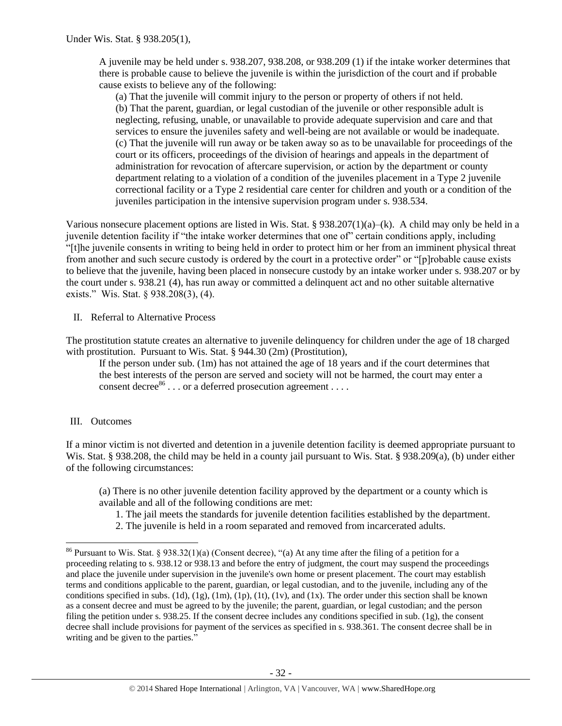A juvenile may be held under s. 938.207, 938.208, or 938.209 (1) if the intake worker determines that there is probable cause to believe the juvenile is within the jurisdiction of the court and if probable cause exists to believe any of the following:

(a) That the juvenile will commit injury to the person or property of others if not held. (b) That the parent, guardian, or legal custodian of the juvenile or other responsible adult is neglecting, refusing, unable, or unavailable to provide adequate supervision and care and that services to ensure the juveniles safety and well-being are not available or would be inadequate. (c) That the juvenile will run away or be taken away so as to be unavailable for proceedings of the court or its officers, proceedings of the division of hearings and appeals in the department of administration for revocation of aftercare supervision, or action by the department or county department relating to a violation of a condition of the juveniles placement in a Type 2 juvenile correctional facility or a Type 2 residential care center for children and youth or a condition of the juveniles participation in the intensive supervision program under s. 938.534.

Various nonsecure placement options are listed in Wis. Stat. §  $938.207(1)(a)–(k)$ . A child may only be held in a juvenile detention facility if "the intake worker determines that one of" certain conditions apply, including "[t]he juvenile consents in writing to being held in order to protect him or her from an imminent physical threat from another and such secure custody is ordered by the court in a protective order" or "[p]robable cause exists to believe that the juvenile, having been placed in nonsecure custody by an intake worker under s. 938.207 or by the court under s. 938.21 (4), has run away or committed a delinquent act and no other suitable alternative exists." Wis. Stat. § 938.208(3), (4).

II. Referral to Alternative Process

The prostitution statute creates an alternative to juvenile delinquency for children under the age of 18 charged with prostitution. Pursuant to Wis. Stat. § 944.30 (2m) (Prostitution),

If the person under sub. (1m) has not attained the age of 18 years and if the court determines that the best interests of the person are served and society will not be harmed, the court may enter a consent decree  $86$ ... or a deferred prosecution agreement ...

# III. Outcomes

 $\overline{\phantom{a}}$ 

If a minor victim is not diverted and detention in a juvenile detention facility is deemed appropriate pursuant to Wis. Stat. § 938.208, the child may be held in a county jail pursuant to Wis. Stat. § 938.209(a), (b) under either of the following circumstances:

(a) There is no other juvenile detention facility approved by the department or a county which is available and all of the following conditions are met:

- 1. The jail meets the standards for juvenile detention facilities established by the department.
- 2. The juvenile is held in a room separated and removed from incarcerated adults.

<sup>&</sup>lt;sup>86</sup> Pursuant to Wis. Stat. § 938.32(1)(a) (Consent decree), "(a) At any time after the filing of a petition for a proceeding relating to s. 938.12 or 938.13 and before the entry of judgment, the court may suspend the proceedings and place the juvenile under supervision in the juvenile's own home or present placement. The court may establish terms and conditions applicable to the parent, guardian, or legal custodian, and to the juvenile, including any of the conditions specified in subs. (1d), (1g), (1m), (1p), (1t), (1v), and (1x). The order under this section shall be known as a consent decree and must be agreed to by the juvenile; the parent, guardian, or legal custodian; and the person filing the petition under s. 938.25. If the consent decree includes any conditions specified in sub. (1g), the consent decree shall include provisions for payment of the services as specified in s. 938.361. The consent decree shall be in writing and be given to the parties."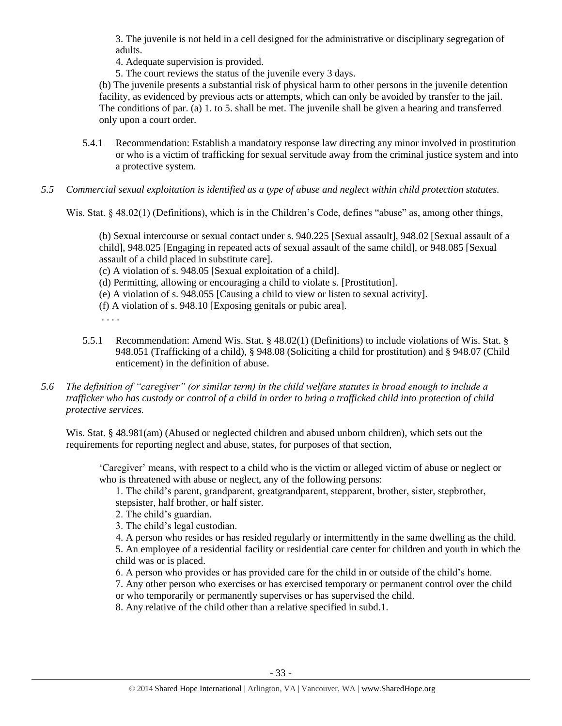3. The juvenile is not held in a cell designed for the administrative or disciplinary segregation of adults.

4. Adequate supervision is provided.

5. The court reviews the status of the juvenile every 3 days.

(b) The juvenile presents a substantial risk of physical harm to other persons in the juvenile detention facility, as evidenced by previous acts or attempts, which can only be avoided by transfer to the jail. The conditions of par. (a) 1. to 5. shall be met. The juvenile shall be given a hearing and transferred only upon a court order.

- 5.4.1 Recommendation: Establish a mandatory response law directing any minor involved in prostitution or who is a victim of trafficking for sexual servitude away from the criminal justice system and into a protective system.
- *5.5 Commercial sexual exploitation is identified as a type of abuse and neglect within child protection statutes.*

Wis. Stat. § 48.02(1) (Definitions), which is in the Children's Code, defines "abuse" as, among other things,

(b) Sexual intercourse or sexual contact under s. 940.225 [Sexual assault], 948.02 [Sexual assault of a child], 948.025 [Engaging in repeated acts of sexual assault of the same child], or 948.085 [Sexual assault of a child placed in substitute care].

(c) A violation of s. 948.05 [Sexual exploitation of a child].

- (d) Permitting, allowing or encouraging a child to violate s. [Prostitution].
- (e) A violation of s. 948.055 [Causing a child to view or listen to sexual activity].
- (f) A violation of s. 948.10 [Exposing genitals or pubic area].
- . . . .
- 5.5.1 Recommendation: Amend Wis. Stat. § 48.02(1) (Definitions) to include violations of Wis. Stat. § 948.051 (Trafficking of a child), § 948.08 (Soliciting a child for prostitution) and § 948.07 (Child enticement) in the definition of abuse.
- *5.6 The definition of "caregiver" (or similar term) in the child welfare statutes is broad enough to include a trafficker who has custody or control of a child in order to bring a trafficked child into protection of child protective services.*

Wis. Stat. § 48.981(am) (Abused or neglected children and abused unborn children), which sets out the requirements for reporting neglect and abuse, states, for purposes of that section,

'Caregiver' means, with respect to a child who is the victim or alleged victim of abuse or neglect or who is threatened with abuse or neglect, any of the following persons:

1. The child's parent, grandparent, greatgrandparent, stepparent, brother, sister, stepbrother, stepsister, half brother, or half sister.

- 2. The child's guardian.
- 3. The child's legal custodian.

4. A person who resides or has resided regularly or intermittently in the same dwelling as the child.

5. An employee of a residential facility or residential care center for children and youth in which the child was or is placed.

6. A person who provides or has provided care for the child in or outside of the child's home.

7. Any other person who exercises or has exercised temporary or permanent control over the child or who temporarily or permanently supervises or has supervised the child.

8. Any relative of the child other than a relative specified in subd.1.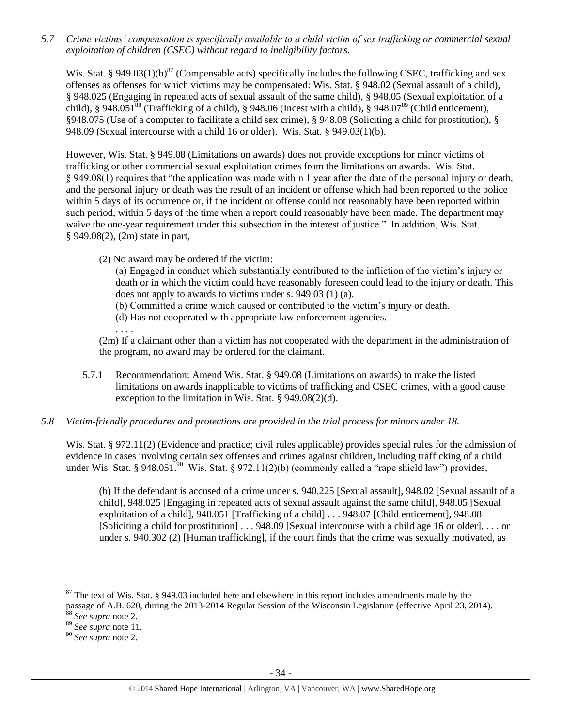*5.7 Crime victims' compensation is specifically available to a child victim of sex trafficking or commercial sexual exploitation of children (CSEC) without regard to ineligibility factors.*

Wis. Stat. § 949.03(1)(b)<sup>87</sup> (Compensable acts) specifically includes the following CSEC, trafficking and sex offenses as offenses for which victims may be compensated: Wis. Stat. § 948.02 (Sexual assault of a child), § 948.025 (Engaging in repeated acts of sexual assault of the same child), § 948.05 (Sexual exploitation of a child), § 948.051<sup>88</sup> (Trafficking of a child), § 948.06 (Incest with a child), § 948.07<sup>89</sup> (Child enticement), §948.075 (Use of a computer to facilitate a child sex crime), § 948.08 (Soliciting a child for prostitution), § 948.09 (Sexual intercourse with a child 16 or older). Wis. Stat. § 949.03(1)(b).

However, Wis. Stat. § 949.08 (Limitations on awards) does not provide exceptions for minor victims of trafficking or other commercial sexual exploitation crimes from the limitations on awards. Wis. Stat. § 949.08(1) requires that "the application was made within 1 year after the date of the personal injury or death, and the personal injury or death was the result of an incident or offense which had been reported to the police within 5 days of its occurrence or, if the incident or offense could not reasonably have been reported within such period, within 5 days of the time when a report could reasonably have been made. The department may waive the one-year requirement under this subsection in the interest of justice." In addition, Wis. Stat. § 949.08(2), (2m) state in part,

(2) No award may be ordered if the victim:

(a) Engaged in conduct which substantially contributed to the infliction of the victim's injury or death or in which the victim could have reasonably foreseen could lead to the injury or death. This does not apply to awards to victims under s. 949.03 (1) (a).

(b) Committed a crime which caused or contributed to the victim's injury or death.

(d) Has not cooperated with appropriate law enforcement agencies.

. . . .

(2m) If a claimant other than a victim has not cooperated with the department in the administration of the program, no award may be ordered for the claimant.

- 5.7.1 Recommendation: Amend Wis. Stat. § 949.08 (Limitations on awards) to make the listed limitations on awards inapplicable to victims of trafficking and CSEC crimes, with a good cause exception to the limitation in Wis. Stat. § 949.08(2)(d).
- *5.8 Victim-friendly procedures and protections are provided in the trial process for minors under 18.*

Wis. Stat. § 972.11(2) (Evidence and practice; civil rules applicable) provides special rules for the admission of evidence in cases involving certain sex offenses and crimes against children, including trafficking of a child under Wis. Stat. § 948.051.<sup>90</sup> Wis. Stat. § 972.11(2)(b) (commonly called a "rape shield law") provides,

(b) If the defendant is accused of a crime under s. 940.225 [Sexual assault], 948.02 [Sexual assault of a child], 948.025 [Engaging in repeated acts of sexual assault against the same child], 948.05 [Sexual exploitation of a child], 948.051 [Trafficking of a child] . . . 948.07 [Child enticement], 948.08 [Soliciting a child for prostitution] . . . 948.09 [Sexual intercourse with a child age 16 or older], . . . or under s. 940.302 (2) [Human trafficking], if the court finds that the crime was sexually motivated, as

 $87$  The text of Wis. Stat. § 949.03 included here and elsewhere in this report includes amendments made by the passage of A.B. 620, during the 2013-2014 Regular Session of the Wisconsin Legislature (effective April 23, 2014).

<sup>88</sup> *See supra* note [2.](#page-0-0) <sup>89</sup> *See supra* note [11.](#page-2-0)

<sup>90</sup> *See supra* note [2.](#page-0-0)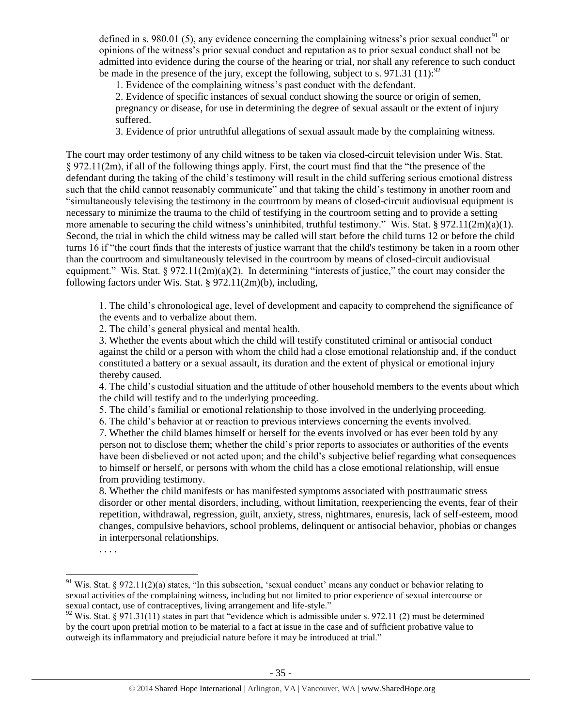defined in s. 980.01 (5), any evidence concerning the complaining witness's prior sexual conduct<sup>91</sup> or opinions of the witness's prior sexual conduct and reputation as to prior sexual conduct shall not be admitted into evidence during the course of the hearing or trial, nor shall any reference to such conduct be made in the presence of the jury, except the following, subject to s. 971.31 (11):  $^{92}$ 

1. Evidence of the complaining witness's past conduct with the defendant.

2. Evidence of specific instances of sexual conduct showing the source or origin of semen, pregnancy or disease, for use in determining the degree of sexual assault or the extent of injury suffered.

3. Evidence of prior untruthful allegations of sexual assault made by the complaining witness.

The court may order testimony of any child witness to be taken via closed-circuit television under Wis. Stat. § 972.11(2m), if all of the following things apply. First, the court must find that the "the presence of the defendant during the taking of the child's testimony will result in the child suffering serious emotional distress such that the child cannot reasonably communicate" and that taking the child's testimony in another room and "simultaneously televising the testimony in the courtroom by means of closed-circuit audiovisual equipment is necessary to minimize the trauma to the child of testifying in the courtroom setting and to provide a setting more amenable to securing the child witness's uninhibited, truthful testimony." Wis. Stat. § 972.11(2m)(a)(1). Second, the trial in which the child witness may be called will start before the child turns 12 or before the child turns 16 if "the court finds that the interests of justice warrant that the child's testimony be taken in a room other than the courtroom and simultaneously televised in the courtroom by means of closed-circuit audiovisual equipment." Wis. Stat. § 972.11(2m)(a)(2). In determining "interests of justice," the court may consider the following factors under Wis. Stat. § 972.11(2m)(b), including,

1. The child's chronological age, level of development and capacity to comprehend the significance of the events and to verbalize about them.

2. The child's general physical and mental health.

3. Whether the events about which the child will testify constituted criminal or antisocial conduct against the child or a person with whom the child had a close emotional relationship and, if the conduct constituted a battery or a sexual assault, its duration and the extent of physical or emotional injury thereby caused.

4. The child's custodial situation and the attitude of other household members to the events about which the child will testify and to the underlying proceeding.

5. The child's familial or emotional relationship to those involved in the underlying proceeding.

6. The child's behavior at or reaction to previous interviews concerning the events involved.

7. Whether the child blames himself or herself for the events involved or has ever been told by any person not to disclose them; whether the child's prior reports to associates or authorities of the events have been disbelieved or not acted upon; and the child's subjective belief regarding what consequences to himself or herself, or persons with whom the child has a close emotional relationship, will ensue from providing testimony.

8. Whether the child manifests or has manifested symptoms associated with posttraumatic stress disorder or other mental disorders, including, without limitation, reexperiencing the events, fear of their repetition, withdrawal, regression, guilt, anxiety, stress, nightmares, enuresis, lack of self-esteem, mood changes, compulsive behaviors, school problems, delinquent or antisocial behavior, phobias or changes in interpersonal relationships.

. . . .

 $\overline{\phantom{a}}$ 

 $91$  Wis. Stat. § 972.11(2)(a) states, "In this subsection, 'sexual conduct' means any conduct or behavior relating to sexual activities of the complaining witness, including but not limited to prior experience of sexual intercourse or sexual contact, use of contraceptives, living arrangement and life-style."

 $92$  Wis. Stat. § 971.31(11) states in part that "evidence which is admissible under s. 972.11 (2) must be determined by the court upon pretrial motion to be material to a fact at issue in the case and of sufficient probative value to outweigh its inflammatory and prejudicial nature before it may be introduced at trial."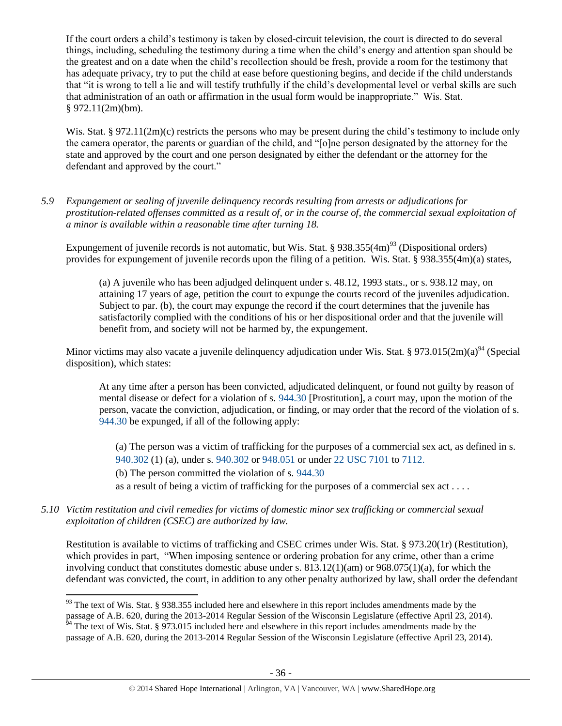If the court orders a child's testimony is taken by closed-circuit television, the court is directed to do several things, including, scheduling the testimony during a time when the child's energy and attention span should be the greatest and on a date when the child's recollection should be fresh, provide a room for the testimony that has adequate privacy, try to put the child at ease before questioning begins, and decide if the child understands that "it is wrong to tell a lie and will testify truthfully if the child's developmental level or verbal skills are such that administration of an oath or affirmation in the usual form would be inappropriate." Wis. Stat.  $§$  972.11(2m)(bm).

Wis. Stat. § 972.11(2m)(c) restricts the persons who may be present during the child's testimony to include only the camera operator, the parents or guardian of the child, and "[o]ne person designated by the attorney for the state and approved by the court and one person designated by either the defendant or the attorney for the defendant and approved by the court."

*5.9 Expungement or sealing of juvenile delinquency records resulting from arrests or adjudications for prostitution-related offenses committed as a result of, or in the course of, the commercial sexual exploitation of a minor is available within a reasonable time after turning 18.*

Expungement of juvenile records is not automatic, but Wis. Stat. §  $938.355(4m)^{93}$  (Dispositional orders) provides for expungement of juvenile records upon the filing of a petition. Wis. Stat. § 938.355(4m)(a) states,

(a) A juvenile who has been adjudged delinquent under s. 48.12, 1993 stats., or s. 938.12 may, on attaining 17 years of age, petition the court to expunge the courts record of the juveniles adjudication. Subject to par. (b), the court may expunge the record if the court determines that the juvenile has satisfactorily complied with the conditions of his or her dispositional order and that the juvenile will benefit from, and society will not be harmed by, the expungement.

Minor victims may also vacate a juvenile delinquency adjudication under Wis. Stat. § 973.015(2m)(a) $94$  (Special disposition), which states:

At any time after a person has been convicted, adjudicated delinquent, or found not guilty by reason of mental disease or defect for a violation of s. [944.30](http://nxt.legis.state.wi.us/nxt/gateway.dll?f=templates&fn=default.htm&vid=WI:Default&d=stats&jd=944.30) [Prostitution], a court may, upon the motion of the person, vacate the conviction, adjudication, or finding, or may order that the record of the violation of s. [944.30](http://nxt.legis.state.wi.us/nxt/gateway.dll?f=templates&fn=default.htm&vid=WI:Default&d=stats&jd=944.30) be expunged, if all of the following apply:

(a) The person was a victim of trafficking for the purposes of a commercial sex act, as defined in s. [940.302](http://nxt.legis.state.wi.us/nxt/gateway.dll?f=templates&fn=default.htm&vid=WI:Default&d=stats&jd=940.302) (1) (a), under s. [940.302](http://nxt.legis.state.wi.us/nxt/gateway.dll?f=templates&fn=default.htm&vid=WI:Default&d=stats&jd=940.302) or [948.051](http://nxt.legis.state.wi.us/nxt/gateway.dll?f=templates&fn=default.htm&vid=WI:Default&d=stats&jd=948.051) or under [22 USC 7101](http://docs.legis.wisconsin.gov/document/usc/22%20USC%207101) to [7112.](http://docs.legis.wisconsin.gov/document/usc/22%20USC%207112)

(b) The person committed the violation of s. [944.30](http://nxt.legis.state.wi.us/nxt/gateway.dll?f=templates&fn=default.htm&vid=WI:Default&d=stats&jd=944.30)

as a result of being a victim of trafficking for the purposes of a commercial sex  $act \dots$ 

*5.10 Victim restitution and civil remedies for victims of domestic minor sex trafficking or commercial sexual exploitation of children (CSEC) are authorized by law.* 

Restitution is available to victims of trafficking and CSEC crimes under Wis. Stat. § 973.20(1r) (Restitution), which provides in part, "When imposing sentence or ordering probation for any crime, other than a crime involving conduct that constitutes domestic abuse under s.  $813.12(1)(am)$  or  $968.075(1)(a)$ , for which the defendant was convicted, the court, in addition to any other penalty authorized by law, shall order the defendant

l <sup>93</sup> The text of Wis. Stat. § 938.355 included here and elsewhere in this report includes amendments made by the passage of A.B. 620, during the 2013-2014 Regular Session of the Wisconsin Legislature (effective April 23, 2014).

 $\frac{54}{94}$  The text of Wis. Stat. § 973.015 included here and elsewhere in this report includes amendments made by the passage of A.B. 620, during the 2013-2014 Regular Session of the Wisconsin Legislature (effective April 23, 2014).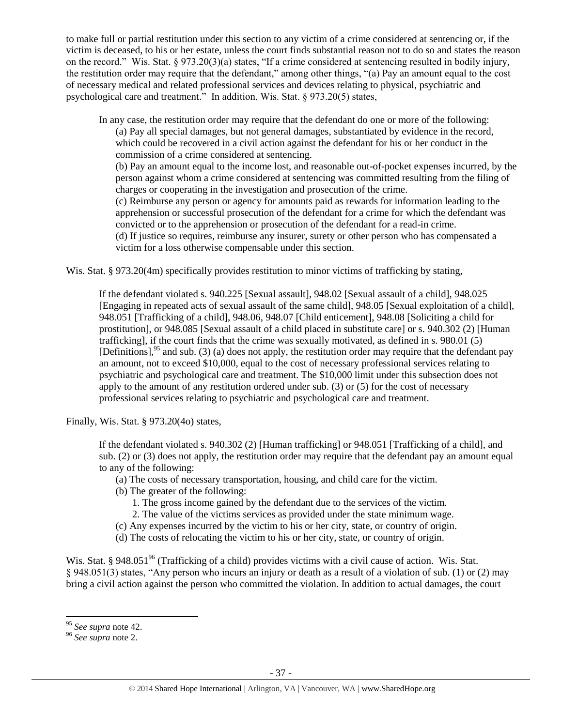to make full or partial restitution under this section to any victim of a crime considered at sentencing or, if the victim is deceased, to his or her estate, unless the court finds substantial reason not to do so and states the reason on the record." Wis. Stat. § 973.20(3)(a) states, "If a crime considered at sentencing resulted in bodily injury, the restitution order may require that the defendant," among other things, "(a) Pay an amount equal to the cost of necessary medical and related professional services and devices relating to physical, psychiatric and psychological care and treatment." In addition, Wis. Stat. § 973.20(5) states,

In any case, the restitution order may require that the defendant do one or more of the following: (a) Pay all special damages, but not general damages, substantiated by evidence in the record, which could be recovered in a civil action against the defendant for his or her conduct in the commission of a crime considered at sentencing.

(b) Pay an amount equal to the income lost, and reasonable out-of-pocket expenses incurred, by the person against whom a crime considered at sentencing was committed resulting from the filing of charges or cooperating in the investigation and prosecution of the crime.

(c) Reimburse any person or agency for amounts paid as rewards for information leading to the apprehension or successful prosecution of the defendant for a crime for which the defendant was convicted or to the apprehension or prosecution of the defendant for a read-in crime.

(d) If justice so requires, reimburse any insurer, surety or other person who has compensated a victim for a loss otherwise compensable under this section.

Wis. Stat. § 973.20(4m) specifically provides restitution to minor victims of trafficking by stating,

If the defendant violated s. 940.225 [Sexual assault], 948.02 [Sexual assault of a child], 948.025 [Engaging in repeated acts of sexual assault of the same child], 948.05 [Sexual exploitation of a child], 948.051 [Trafficking of a child], 948.06, 948.07 [Child enticement], 948.08 [Soliciting a child for prostitution], or 948.085 [Sexual assault of a child placed in substitute care] or s. 940.302 (2) [Human trafficking], if the court finds that the crime was sexually motivated, as defined in s. 980.01 (5) [Definitions],  $95$  and sub. (3) (a) does not apply, the restitution order may require that the defendant pay an amount, not to exceed \$10,000, equal to the cost of necessary professional services relating to psychiatric and psychological care and treatment. The \$10,000 limit under this subsection does not apply to the amount of any restitution ordered under sub. (3) or (5) for the cost of necessary professional services relating to psychiatric and psychological care and treatment.

Finally, Wis. Stat. § 973.20(4o) states,

If the defendant violated s. 940.302 (2) [Human trafficking] or 948.051 [Trafficking of a child], and sub. (2) or (3) does not apply, the restitution order may require that the defendant pay an amount equal to any of the following:

- (a) The costs of necessary transportation, housing, and child care for the victim.
- (b) The greater of the following:
	- 1. The gross income gained by the defendant due to the services of the victim.
	- 2. The value of the victims services as provided under the state minimum wage.
- (c) Any expenses incurred by the victim to his or her city, state, or country of origin.
- (d) The costs of relocating the victim to his or her city, state, or country of origin.

Wis. Stat. § 948.051<sup>96</sup> (Trafficking of a child) provides victims with a civil cause of action. Wis. Stat. § 948.051(3) states, "Any person who incurs an injury or death as a result of a violation of sub. (1) or (2) may bring a civil action against the person who committed the violation. In addition to actual damages, the court

l

<sup>95</sup> *See supra* note [42.](#page-11-1)

<sup>96</sup> *See supra* note [2.](#page-0-0)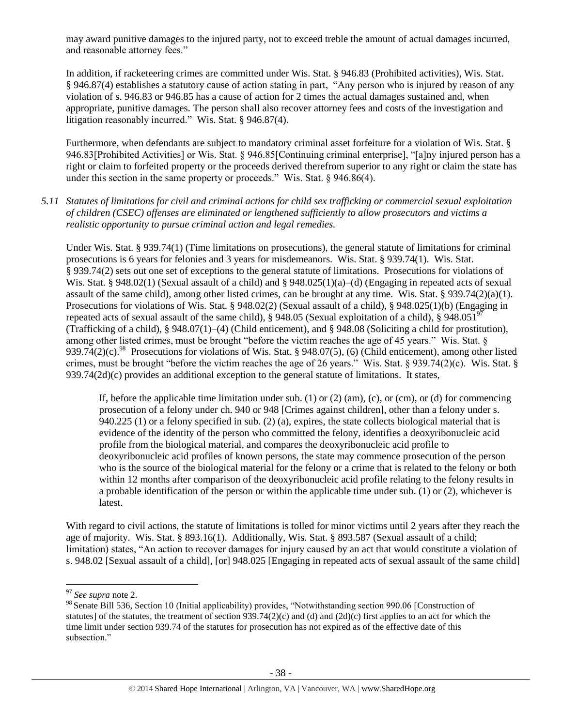may award punitive damages to the injured party, not to exceed treble the amount of actual damages incurred, and reasonable attorney fees."

In addition, if racketeering crimes are committed under Wis. Stat. § 946.83 (Prohibited activities), Wis. Stat. § 946.87(4) establishes a statutory cause of action stating in part, "Any person who is injured by reason of any violation of s. 946.83 or 946.85 has a cause of action for 2 times the actual damages sustained and, when appropriate, punitive damages. The person shall also recover attorney fees and costs of the investigation and litigation reasonably incurred." Wis. Stat. § 946.87(4).

Furthermore, when defendants are subject to mandatory criminal asset forfeiture for a violation of Wis. Stat. § 946.83[Prohibited Activities] or Wis. Stat. § 946.85[Continuing criminal enterprise], "[a]ny injured person has a right or claim to forfeited property or the proceeds derived therefrom superior to any right or claim the state has under this section in the same property or proceeds." Wis. Stat. § 946.86(4).

*5.11 Statutes of limitations for civil and criminal actions for child sex trafficking or commercial sexual exploitation of children (CSEC) offenses are eliminated or lengthened sufficiently to allow prosecutors and victims a realistic opportunity to pursue criminal action and legal remedies.* 

Under Wis. Stat. § 939.74(1) (Time limitations on prosecutions), the general statute of limitations for criminal prosecutions is 6 years for felonies and 3 years for misdemeanors. Wis. Stat. § 939.74(1). Wis. Stat. § 939.74(2) sets out one set of exceptions to the general statute of limitations. Prosecutions for violations of Wis. Stat. § 948.02(1) (Sexual assault of a child) and § 948.025(1)(a)–(d) (Engaging in repeated acts of sexual assault of the same child), among other listed crimes, can be brought at any time. Wis. Stat. § 939.74(2)(a)(1). Prosecutions for violations of Wis. Stat. § 948.02(2) (Sexual assault of a child), § 948.025(1)(b) (Engaging in repeated acts of sexual assault of the same child), § 948.05 (Sexual exploitation of a child), § 948.051<sup>97</sup> (Trafficking of a child), § 948.07(1)–(4) (Child enticement), and § 948.08 (Soliciting a child for prostitution), among other listed crimes, must be brought "before the victim reaches the age of 45 years." Wis. Stat. § 939.74(2)(c).<sup>98</sup> Prosecutions for violations of Wis. Stat. § 948.07(5), (6) (Child enticement), among other listed crimes, must be brought "before the victim reaches the age of 26 years." Wis. Stat. § 939.74(2)(c). Wis. Stat. §  $939.74(2d)(c)$  provides an additional exception to the general statute of limitations. It states,

If, before the applicable time limitation under sub. (1) or (2) (am), (c), or (cm), or (d) for commencing prosecution of a felony under ch. 940 or 948 [Crimes against children], other than a felony under s. 940.225 (1) or a felony specified in sub. (2) (a), expires, the state collects biological material that is evidence of the identity of the person who committed the felony, identifies a deoxyribonucleic acid profile from the biological material, and compares the deoxyribonucleic acid profile to deoxyribonucleic acid profiles of known persons, the state may commence prosecution of the person who is the source of the biological material for the felony or a crime that is related to the felony or both within 12 months after comparison of the deoxyribonucleic acid profile relating to the felony results in a probable identification of the person or within the applicable time under sub. (1) or (2), whichever is latest.

With regard to civil actions, the statute of limitations is tolled for minor victims until 2 years after they reach the age of majority. Wis. Stat. § 893.16(1). Additionally, Wis. Stat. § 893.587 (Sexual assault of a child; limitation) states, "An action to recover damages for injury caused by an act that would constitute a violation of s. 948.02 [Sexual assault of a child], [or] 948.025 [Engaging in repeated acts of sexual assault of the same child]

<sup>97</sup> *See supra* note [2.](#page-0-0)

<sup>98</sup> Senate Bill 536, Section 10 (Initial applicability) provides, "Notwithstanding section 990.06 [Construction of statutes] of the statutes, the treatment of section  $939.74(2)(c)$  and (d) and  $(2d)(c)$  first applies to an act for which the time limit under section 939.74 of the statutes for prosecution has not expired as of the effective date of this subsection."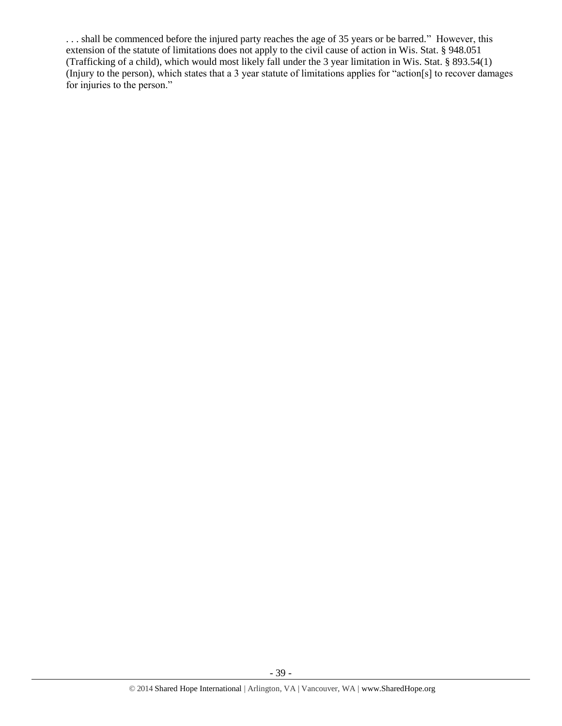. . . shall be commenced before the injured party reaches the age of 35 years or be barred." However, this extension of the statute of limitations does not apply to the civil cause of action in Wis. Stat. § 948.051 (Trafficking of a child), which would most likely fall under the 3 year limitation in Wis. Stat. § 893.54(1) (Injury to the person), which states that a 3 year statute of limitations applies for "action[s] to recover damages for injuries to the person."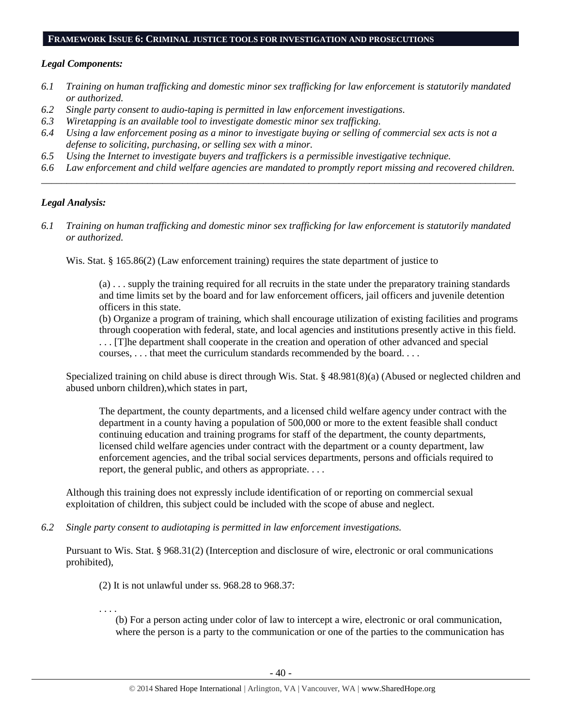#### **FRAMEWORK ISSUE 6: CRIMINAL JUSTICE TOOLS FOR INVESTIGATION AND PROSECUTIONS**

## *Legal Components:*

- *6.1 Training on human trafficking and domestic minor sex trafficking for law enforcement is statutorily mandated or authorized.*
- *6.2 Single party consent to audio-taping is permitted in law enforcement investigations.*
- *6.3 Wiretapping is an available tool to investigate domestic minor sex trafficking.*
- *6.4 Using a law enforcement posing as a minor to investigate buying or selling of commercial sex acts is not a defense to soliciting, purchasing, or selling sex with a minor.*
- *6.5 Using the Internet to investigate buyers and traffickers is a permissible investigative technique.*
- *6.6 Law enforcement and child welfare agencies are mandated to promptly report missing and recovered children. \_\_\_\_\_\_\_\_\_\_\_\_\_\_\_\_\_\_\_\_\_\_\_\_\_\_\_\_\_\_\_\_\_\_\_\_\_\_\_\_\_\_\_\_\_\_\_\_\_\_\_\_\_\_\_\_\_\_\_\_\_\_\_\_\_\_\_\_\_\_\_\_\_\_\_\_\_\_\_\_\_\_\_\_\_\_\_\_\_\_\_\_\_\_*

## *Legal Analysis:*

*6.1 Training on human trafficking and domestic minor sex trafficking for law enforcement is statutorily mandated or authorized.*

Wis. Stat. § 165.86(2) (Law enforcement training) requires the state department of justice to

(a) . . . supply the training required for all recruits in the state under the preparatory training standards and time limits set by the board and for law enforcement officers, jail officers and juvenile detention officers in this state.

(b) Organize a program of training, which shall encourage utilization of existing facilities and programs through cooperation with federal, state, and local agencies and institutions presently active in this field. . . . [T]he department shall cooperate in the creation and operation of other advanced and special

courses, . . . that meet the curriculum standards recommended by the board. . . .

Specialized training on child abuse is direct through Wis. Stat. § 48.981(8)(a) (Abused or neglected children and abused unborn children),which states in part,

The department, the county departments, and a licensed child welfare agency under contract with the department in a county having a population of 500,000 or more to the extent feasible shall conduct continuing education and training programs for staff of the department, the county departments, licensed child welfare agencies under contract with the department or a county department, law enforcement agencies, and the tribal social services departments, persons and officials required to report, the general public, and others as appropriate. . . .

Although this training does not expressly include identification of or reporting on commercial sexual exploitation of children, this subject could be included with the scope of abuse and neglect.

*6.2 Single party consent to audiotaping is permitted in law enforcement investigations.*

Pursuant to Wis. Stat. § 968.31(2) (Interception and disclosure of wire, electronic or oral communications prohibited),

(2) It is not unlawful under ss. 968.28 to 968.37:

. . . .

(b) For a person acting under color of law to intercept a wire, electronic or oral communication, where the person is a party to the communication or one of the parties to the communication has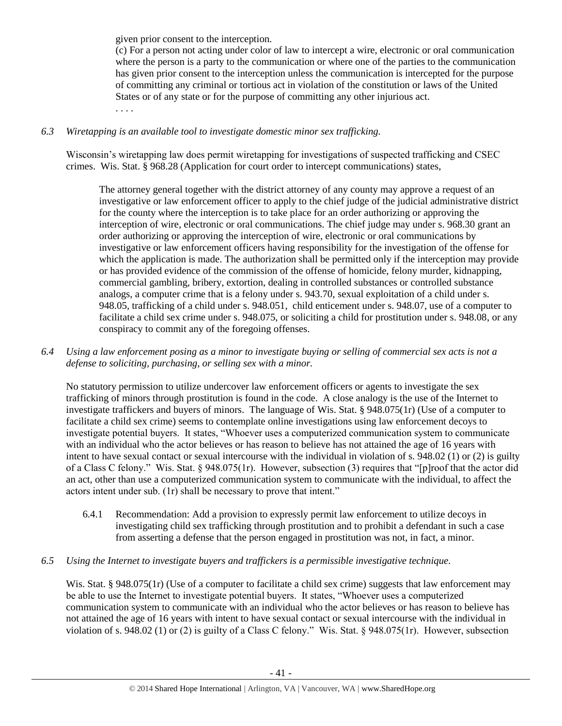given prior consent to the interception.

(c) For a person not acting under color of law to intercept a wire, electronic or oral communication where the person is a party to the communication or where one of the parties to the communication has given prior consent to the interception unless the communication is intercepted for the purpose of committing any criminal or tortious act in violation of the constitution or laws of the United States or of any state or for the purpose of committing any other injurious act. . . . .

# *6.3 Wiretapping is an available tool to investigate domestic minor sex trafficking.*

Wisconsin's wiretapping law does permit wiretapping for investigations of suspected trafficking and CSEC crimes. Wis. Stat. § 968.28 (Application for court order to intercept communications) states,

The attorney general together with the district attorney of any county may approve a request of an investigative or law enforcement officer to apply to the chief judge of the judicial administrative district for the county where the interception is to take place for an order authorizing or approving the interception of wire, electronic or oral communications. The chief judge may under s. 968.30 grant an order authorizing or approving the interception of wire, electronic or oral communications by investigative or law enforcement officers having responsibility for the investigation of the offense for which the application is made. The authorization shall be permitted only if the interception may provide or has provided evidence of the commission of the offense of homicide, felony murder, kidnapping, commercial gambling, bribery, extortion, dealing in controlled substances or controlled substance analogs, a computer crime that is a felony under s. 943.70, sexual exploitation of a child under s. 948.05, trafficking of a child under s. 948.051, child enticement under s. 948.07, use of a computer to facilitate a child sex crime under s. 948.075, or soliciting a child for prostitution under s. 948.08, or any conspiracy to commit any of the foregoing offenses.

*6.4 Using a law enforcement posing as a minor to investigate buying or selling of commercial sex acts is not a defense to soliciting, purchasing, or selling sex with a minor.*

No statutory permission to utilize undercover law enforcement officers or agents to investigate the sex trafficking of minors through prostitution is found in the code. A close analogy is the use of the Internet to investigate traffickers and buyers of minors. The language of Wis. Stat. § 948.075(1r) (Use of a computer to facilitate a child sex crime) seems to contemplate online investigations using law enforcement decoys to investigate potential buyers. It states, "Whoever uses a computerized communication system to communicate with an individual who the actor believes or has reason to believe has not attained the age of 16 years with intent to have sexual contact or sexual intercourse with the individual in violation of s. 948.02 (1) or (2) is guilty of a Class C felony." Wis. Stat. § 948.075(1r). However, subsection (3) requires that "[p]roof that the actor did an act, other than use a computerized communication system to communicate with the individual, to affect the actors intent under sub. (1r) shall be necessary to prove that intent."

- 6.4.1 Recommendation: Add a provision to expressly permit law enforcement to utilize decoys in investigating child sex trafficking through prostitution and to prohibit a defendant in such a case from asserting a defense that the person engaged in prostitution was not, in fact, a minor.
- *6.5 Using the Internet to investigate buyers and traffickers is a permissible investigative technique.*

Wis. Stat. § 948.075(1r) (Use of a computer to facilitate a child sex crime) suggests that law enforcement may be able to use the Internet to investigate potential buyers. It states, "Whoever uses a computerized communication system to communicate with an individual who the actor believes or has reason to believe has not attained the age of 16 years with intent to have sexual contact or sexual intercourse with the individual in violation of s. 948.02 (1) or (2) is guilty of a Class C felony." Wis. Stat. § 948.075(1r). However, subsection